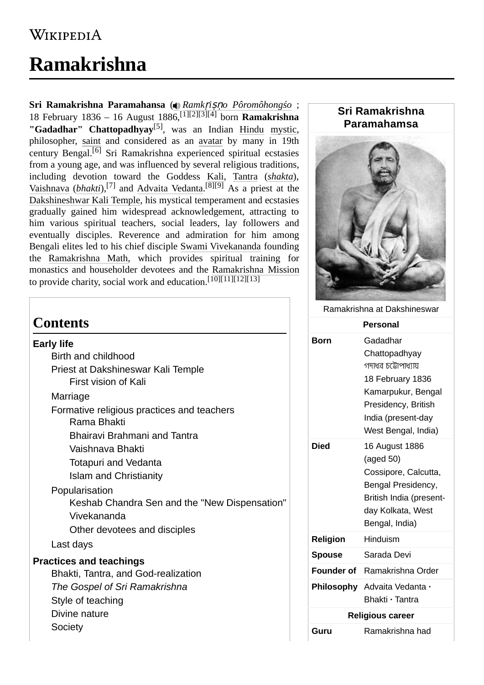## **WIKIPEDIA**

# **Ramakrishna**

**Sri Ramakrishna Paramahansa** [\(](https://en.wikipedia.org/wiki/File:Ramakrishna.ogg) *Ramk*ṛ*i*ṣṇ*[o Pôromôhongśo](https://upload.wikimedia.org/wikipedia/commons/e/e1/Ramakrishna.ogg)* ; 18 February 1836 – 16 August 1886,[\[1\]](#page-14-0)[\[2\]](#page-14-1)[\[3\]](#page-14-2)[\[4\]](#page-14-3) born **Ramakrishna "Gadadhar" Chattopadhyay**[\[5\]](#page-14-4) , was an Indian [Hindu](https://en.wikipedia.org/wiki/Hindu) [mystic](https://en.wikipedia.org/wiki/Mysticism), philosopher, [saint](https://en.wikipedia.org/wiki/Saint) and considered as an [avatar](https://en.wikipedia.org/wiki/Avatar) by many in 19th century Bengal.[\[6\]](#page-14-5) Sri Ramakrishna experienced spiritual ecstasies from a young age, and was influenced by several religious traditions, including devotion toward the Goddess [Kali](https://en.wikipedia.org/wiki/Kali), [Tantra](https://en.wikipedia.org/wiki/Tantra) (*[shakta](https://en.wikipedia.org/wiki/Shaktism)*), [Vaishnava](https://en.wikipedia.org/wiki/Vaishnava) (*[bhakti](https://en.wikipedia.org/wiki/Vaishnavism)*),[\[7\]](#page-14-6) and [Advaita Vedanta.](https://en.wikipedia.org/wiki/Advaita_Vedanta) [\[8\]](#page-14-7)[\[9\]](#page-14-8) As a priest at the [Dakshineshwar Kali Temple,](https://en.wikipedia.org/wiki/Dakshineswar_Kali_Temple) his mystical temperament and ecstasies gradually gained him widespread acknowledgement, attracting to him various spiritual teachers, social leaders, lay followers and eventually disciples. Reverence and admiration for him among Bengali elites led to his chief disciple [Swami Vivekananda](https://en.wikipedia.org/wiki/Swami_Vivekananda) founding the [Ramakrishna Math,](https://en.wikipedia.org/wiki/Ramakrishna_Math) which provides spiritual training for monastics and householder devotees and the [Ramakrishna Mission](https://en.wikipedia.org/wiki/Ramakrishna_Mission) to provide charity, social work and education.  $[10][11][12][13]$  $[10][11][12][13]$  $[10][11][12][13]$  $[10][11][12][13]$ 

### **Contents**

#### **[Early life](#page-1-0)**

- [Birth and childhood](#page-1-1)
- [Priest at Dakshineswar Kali Temple](#page-2-0) [First vision of Kali](#page-2-1)

[Marriage](#page-3-0)

[Formative religious practices and teachers](#page-4-0) [Rama Bhakti](#page-4-1)

[Bhairavi Brahmani and Tantra](#page-4-2)

- [Vaishnava Bhakti](#page-5-0)
- [Totapuri and Vedanta](#page-5-1)
- [Islam and Christianity](#page-5-2)

[Popularisation](#page-6-0)

Keshab Chandra Sen and the "New Dispensation" [Vivekananda](#page-6-1)

[Other devotees and disciples](#page-7-0)

[Last days](#page-7-1)

#### **[Practices and teachings](#page-8-0)**

[Bhakti, Tantra, and God-realization](#page-8-1) *[The Gospel of Sri Ramakrishna](#page-8-2)* [Style of teaching](#page-9-0) [Divine nature](#page-9-1) **[Society](#page-10-0)** 

## **Sri Ramakrishna Paramahamsa**



#### Ramakrishna at [Dakshineswar](https://en.wikipedia.org/wiki/Dakshineswar)

|                         | <b>Personal</b>                                                                                                                                                |
|-------------------------|----------------------------------------------------------------------------------------------------------------------------------------------------------------|
| Born                    | Gadadhar<br>Chattopadhyay<br>গদাধর চট্টোপাধ্যায়<br>18 February 1836<br>Kamarpukur, Bengal<br>Presidency, British<br>India (present-day<br>West Bengal, India) |
| Died                    | 16 August 1886<br>(aged 50)<br>Cossipore, Calcutta,<br>Bengal Presidency,<br>British India (present-<br>day Kolkata, West<br>Bengal, India)                    |
| <b>Religion</b>         | Hinduism                                                                                                                                                       |
| <b>Spouse</b>           | Sarada Devi                                                                                                                                                    |
| <b>Founder of</b>       | Ramakrishna Order                                                                                                                                              |
|                         | Philosophy Advaita Vedanta ·<br>Bhakti · Tantra                                                                                                                |
| <b>Religious career</b> |                                                                                                                                                                |
| Guru                    | Ramakrishna had                                                                                                                                                |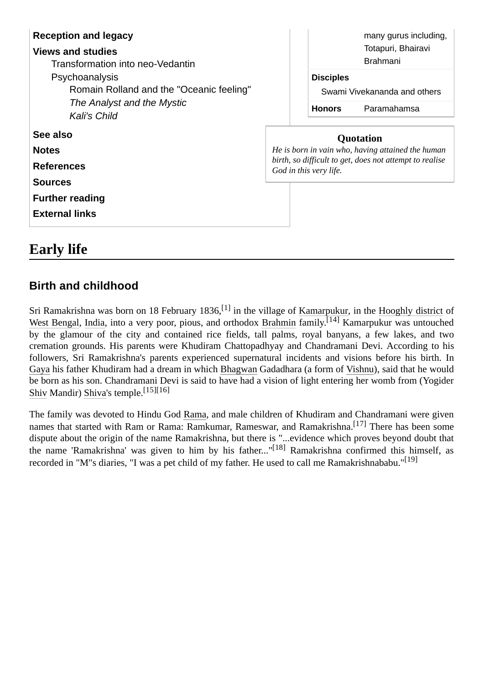| <b>Reception and legacy</b><br><b>Views and studies</b><br>Transformation into neo-Vedantin | many gurus including,<br>Totapuri, Bhairavi<br><b>Brahmani</b>                    |  |
|---------------------------------------------------------------------------------------------|-----------------------------------------------------------------------------------|--|
| Psychoanalysis                                                                              | <b>Disciples</b>                                                                  |  |
| Romain Rolland and the "Oceanic feeling"<br>The Analyst and the Mystic                      | Swami Vivekananda and others                                                      |  |
| <b>Kali's Child</b>                                                                         | <b>Honors</b><br>Paramahamsa                                                      |  |
| See also                                                                                    | <b>Quotation</b>                                                                  |  |
| <b>Notes</b>                                                                                | He is born in vain who, having attained the human                                 |  |
| <b>References</b>                                                                           | birth, so difficult to get, does not attempt to realise<br>God in this very life. |  |
| <b>Sources</b>                                                                              |                                                                                   |  |
| <b>Further reading</b>                                                                      |                                                                                   |  |
| <b>External links</b>                                                                       |                                                                                   |  |
|                                                                                             |                                                                                   |  |

### <span id="page-1-0"></span>**Early life**

### <span id="page-1-1"></span>**Birth and childhood**

Sri Ramakrishna was born on 18 February 1836,  $^{[1]}$  $^{[1]}$  $^{[1]}$  in the village of [Kamarpukur](https://en.wikipedia.org/wiki/Kamarpukur), in the [Hooghly district](https://en.wikipedia.org/wiki/Hooghly_district) of [West Bengal,](https://en.wikipedia.org/wiki/West_Bengal) [India,](https://en.wikipedia.org/wiki/India) into a very poor, pious, and orthodox [Brahmin](https://en.wikipedia.org/wiki/Brahmin) family.<sup>[\[14\]](#page-14-14)</sup> Kamarpukur was untouched by the glamour of the city and contained rice fields, tall palms, royal banyans, a few lakes, and two cremation grounds. His parents were Khudiram Chattopadhyay and Chandramani Devi. According to his followers, Sri Ramakrishna's parents experienced supernatural incidents and visions before his birth. In [Gaya](https://en.wikipedia.org/wiki/Gaya,_India) his father Khudiram had a dream in which [Bhagwan](https://en.wikipedia.org/wiki/Bhagavan) Gadadhara (a form of [Vishnu](https://en.wikipedia.org/wiki/Vishnu)), said that he would be born as his son. Chandramani Devi is said to have had a vision of light entering her womb from (Yogider [Shiv](https://en.wikipedia.org/wiki/Shiva) Mandir) [Shiva](https://en.wikipedia.org/wiki/Shiva)'s temple.[15][16]

The family was devoted to Hindu God [Rama,](https://en.wikipedia.org/wiki/Rama) and male children of Khudiram and Chandramani were given names that started with Ram or Rama: Ramkumar, Rameswar, and Ramakrishna.<sup>[\[17\]](#page-15-0)</sup> There has been some dispute about the origin of the name Ramakrishna, but there is "...evidence which proves beyond doubt that the name 'Ramakrishna' was given to him by his father..."[\[18\]](#page-15-1) Ramakrishna confirmed this himself, as recorded in "M"s diaries, "I was a pet child of my father. He used to call me Ramakrishnababu."[\[19\]](#page-15-2)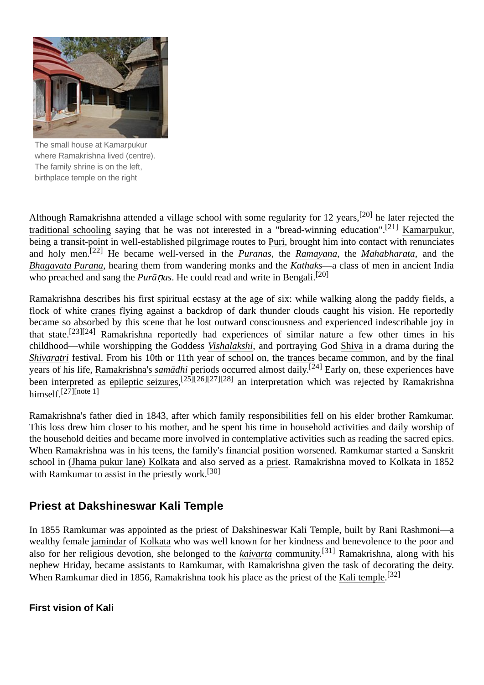

The small house at [Kamarpukur](https://en.wikipedia.org/wiki/Kamarpukur) where Ramakrishna lived (centre). The family shrine is on the left, birthplace temple on the right

Although Ramakrishna attended a village school with some regularity for 12 years,[\[20\]](#page-15-3) he later rejected the [traditional schooling](https://en.wikipedia.org/wiki/School) saying that he was not interested in a "bread-winning education".[\[21\]](#page-15-4) [Kamarpukur,](https://en.wikipedia.org/wiki/Kamarpukur) being a transit-point in well-established pilgrimage routes to [Puri](https://en.wikipedia.org/wiki/Puri), brought him into contact with renunciates and holy men.[\[22\]](#page-15-5) He became well-versed in the *[Puranas](https://en.wikipedia.org/wiki/Puranas)*, the *[Ramayana](https://en.wikipedia.org/wiki/Ramayana)*, the *[Mahabharata](https://en.wikipedia.org/wiki/Mah%C4%81bh%C4%81rata)*, and the *[Bhagavata Purana](https://en.wikipedia.org/wiki/Bhagavata_Purana)*, hearing them from wandering monks and the *Kathaks*—a class of men in ancient India who preached and sang the *Purānas*. He could read and write in Bengali.<sup>[\[20\]](#page-15-3)</sup>

Ramakrishna describes his first spiritual ecstasy at the age of six: while walking along the paddy fields, a flock of white [cranes](https://en.wikipedia.org/wiki/Crane_(bird)) flying against a backdrop of dark thunder clouds caught his vision. He reportedly became so absorbed by this scene that he lost outward consciousness and experienced indescribable joy in that state.[23[\]\[24\]](#page-15-6) Ramakrishna reportedly had experiences of similar nature a few other times in his childhood—while worshipping the Goddess *[Vishalakshi](https://en.wikipedia.org/wiki/Vishalakshi)*, and portraying God [Shiva](https://en.wikipedia.org/wiki/Shiva) in a drama during the *[Shivaratri](https://en.wikipedia.org/wiki/Shivaratri)* festival. From his 10th or 11th year of school on, the [trances](https://en.wikipedia.org/wiki/Trance) became common, and by the final years of his life, [Ramakrishna's](https://en.wikipedia.org/wiki/Ramakrishna%27s_samadhi) *samādhi* periods occurred almost daily. [\[24\]](#page-15-6) Early on, these experiences have been interpreted as [epileptic seizures](https://en.wikipedia.org/wiki/Temporal_lobe_epilepsy),<sup>[\[25\]](#page-15-7)[\[26\]](#page-15-8)[\[27\]](#page-15-9)[\[28\]](#page-15-10)</sup> an interpretation which was rejected by Ramakrishna himself.<sup>[\[27\]](#page-15-9)[\[note](#page-13-2) 1]</sup>

Ramakrishna's father died in 1843, after which family responsibilities fell on his elder brother Ramkumar. This loss drew him closer to his mother, and he spent his time in household activities and daily worship of the household deities and became more involved in contemplative activities such as reading the sacred [epics.](https://en.wikipedia.org/wiki/Indian_epic_poetry) When Ramakrishna was in his teens, the family's financial position worsened. Ramkumar started a Sanskrit school in [\(Jhama pukur lane\) Kolkata](https://en.wikipedia.org/wiki/Kolkata) and also served as a [priest.](https://en.wikipedia.org/wiki/Purohit) Ramakrishna moved to Kolkata in 1852 with Ramkumar to assist in the priestly work.<sup>[\[30\]](#page-15-11)</sup>

### <span id="page-2-0"></span>**Priest at Dakshineswar Kali Temple**

In 1855 Ramkumar was appointed as the priest of [Dakshineswar Kali Temple](https://en.wikipedia.org/wiki/Dakshineswar_Kali_Temple), built by [Rani Rashmoni—](https://en.wikipedia.org/wiki/Rani_Rashmoni)a wealthy female [jamindar](https://en.wikipedia.org/wiki/Jamindar) of [Kolkata](https://en.wikipedia.org/wiki/Kolkata) who was well known for her kindness and benevolence to the poor and also for her religious devotion, she belonged to the *[kaivarta](https://en.wikipedia.org/wiki/Kaivarta)* community. [\[31\]](#page-15-12) Ramakrishna, along with his nephew Hriday, became assistants to Ramkumar, with Ramakrishna given the task of decorating the deity. When Ramkumar died in 1856, Ramakrishna took his place as the priest of the [Kali temple](https://en.wikipedia.org/wiki/Dakshineswar_Kali_Temple). [\[32\]](#page-15-13)

<span id="page-2-1"></span>**First vision of Kali**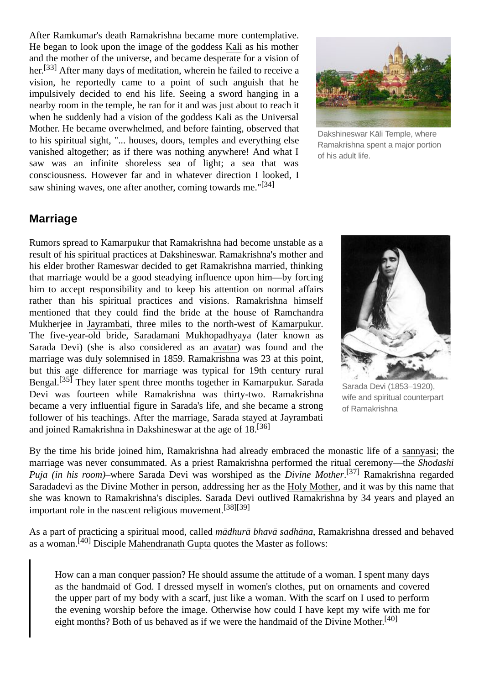After Ramkumar's death Ramakrishna became more contemplative. He began to look upon the image of the goddess [Kali](https://en.wikipedia.org/wiki/Kali) as his mother and the mother of the universe, and became desperate for a vision of her.<sup>[\[33\]](#page-15-14)</sup> After many days of meditation, wherein he failed to receive a vision, he reportedly came to a point of such anguish that he impulsively decided to end his life. Seeing a sword hanging in a nearby room in the temple, he ran for it and was just about to reach it when he suddenly had a vision of the goddess Kali as the Universal Mother. He became overwhelmed, and before fainting, observed that to his spiritual sight, "... houses, doors, temples and everything else vanished altogether; as if there was nothing anywhere! And what I saw was an infinite shoreless sea of light; a sea that was consciousness. However far and in whatever direction I looked, I saw shining waves, one after another, coming towards me."<sup>[\[34\]](#page-15-15)</sup>



[Dakshineswar](https://en.wikipedia.org/wiki/Dakshineswar_K%C4%81li_Temple) Kāli Temple, where Ramakrishna spent a major portion of his adult life.

#### <span id="page-3-0"></span>**Marriage**

Rumors spread to Kamarpukur that Ramakrishna had become unstable as a result of his spiritual practices at Dakshineswar. Ramakrishna's mother and his elder brother Rameswar decided to get Ramakrishna married, thinking that marriage would be a good steadying influence upon him—by forcing him to accept responsibility and to keep his attention on normal affairs rather than his spiritual practices and visions. Ramakrishna himself mentioned that they could find the bride at the house of Ramchandra Mukherjee in [Jayrambati,](https://en.wikipedia.org/wiki/Jayrambati) three miles to the north-west of [Kamarpukur.](https://en.wikipedia.org/wiki/Kamarpukur) The five-year-old bride, [Saradamani Mukhopadhyaya](https://en.wikipedia.org/wiki/Sarada_Devi) (later known as Sarada Devi) (she is also considered as an [avatar\)](https://en.wikipedia.org/wiki/Avatar) was found and the marriage was duly solemnised in 1859. Ramakrishna was 23 at this point, but this age difference for marriage was typical for 19th century rural Bengal.[\[35\]](#page-15-16) They later spent three months together in Kamarpukur. Sarada Devi was fourteen while Ramakrishna was thirty-two. Ramakrishna became a very influential figure in Sarada's life, and she became a strong follower of his teachings. After the marriage, Sarada stayed at Jayrambati and joined Ramakrishna in Dakshineswar at the age of 18.<sup>[36]</sup>



Sarada Devi (1853–1920), wife and spiritual counterpart of Ramakrishna

By the time his bride joined him, Ramakrishna had already embraced the monastic life of a [sannyasi](https://en.wikipedia.org/wiki/Sannyasi); the marriage was never consummated. As a priest Ramakrishna performed the ritual ceremony—the *Shodashi Puja (in his room)*–where Sarada Devi was worshiped as the *Divine Mother*. [\[37\]](#page-15-17) Ramakrishna regarded Saradadevi as the Divine Mother in person, addressing her as the [Holy Mother](https://en.wikipedia.org/wiki/Sarada_Devi), and it was by this name that she was known to Ramakrishna's disciples. Sarada Devi outlived Ramakrishna by 34 years and played an important role in the nascent religious movement.[\[38\]](#page-15-18)[\[39\]](#page-15-19)

As a part of practicing a spiritual mood, called *mādhurā bhavā sadhāna*, Ramakrishna dressed and behaved as a woman.  $^{[40]}$  $^{[40]}$  $^{[40]}$  Disciple [Mahendranath Gupta](https://en.wikipedia.org/wiki/Mahendranath_Gupta) quotes the Master as follows:

How can a man conquer passion? He should assume the attitude of a woman. I spent many days as the handmaid of God. I dressed myself in women's clothes, put on ornaments and covered the upper part of my body with a scarf, just like a woman. With the scarf on I used to perform the evening worship before the image. Otherwise how could I have kept my wife with me for eight months? Both of us behaved as if we were the handmaid of the Divine Mother. [\[40\]](#page-15-20)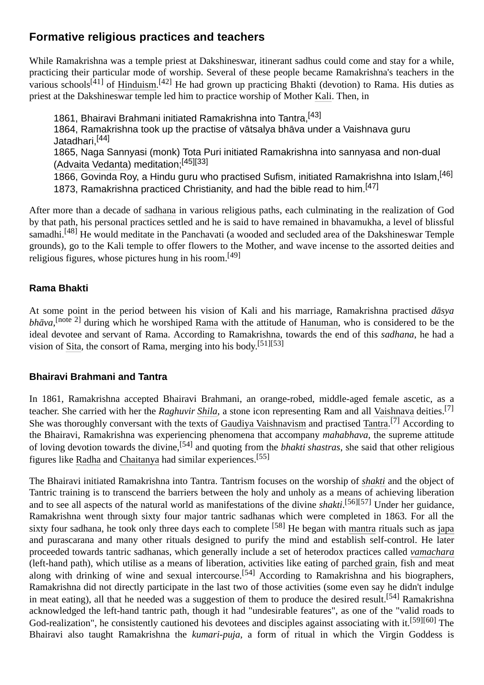### <span id="page-4-0"></span>**Formative religious practices and teachers**

While Ramakrishna was a temple priest at Dakshineswar, itinerant sadhus could come and stay for a while, practicing their particular mode of worship. Several of these people became Ramakrishna's teachers in the various schools<sup>[\[41\]](#page-15-21)</sup> of [Hinduism](https://en.wikipedia.org/wiki/Hinduism).<sup>[\[42\]](#page-15-22)</sup> He had grown up practicing Bhakti (devotion) to Rama. His duties as priest at the Dakshineswar temple led him to practice worship of Mother [Kali](https://en.wikipedia.org/wiki/Kali). Then, in

1861, Bhairavi Brahmani initiated Ramakrishna into Tantra.<sup>[\[43\]](#page-15-23)</sup> 1864, Ramakrishna took up the practise of vātsalya bhāva under a Vaishnava guru Jatadhari,[\[44\]](#page-15-24) 1865, Naga Sannyasi (monk) Tota Puri initiated Ramakrishna into sannyasa and non-dual [\(Advaita Vedanta\)](https://en.wikipedia.org/wiki/Advaita) meditation;[\[45\]](#page-15-25)[\[33\]](#page-15-14) 1866, Govinda Roy, a Hindu guru who practised Sufism, initiated Ramakrishna into Islam.<sup>[\[46\]](#page-15-26)</sup> 1873, Ramakrishna practiced Christianity, and had the bible read to him.  $[47]$ 

After more than a decade of [sadhana](https://en.wikipedia.org/wiki/Sadhana) in various religious paths, each culminating in the realization of God by that path, his personal practices settled and he is said to have remained in bhavamukha, a level of blissful samadhi.<sup>[\[48\]](#page-15-28)</sup> He would meditate in the Panchavati (a wooded and secluded area of the Dakshineswar Temple grounds), go to the Kali temple to offer flowers to the Mother, and wave incense to the assorted deities and religious figures, whose pictures hung in his room.[\[49\]](#page-15-29)

#### <span id="page-4-1"></span>**Rama Bhakti**

At some point in the period between his vision of Kali and his marriage, Ramakrishna practised *dāsya bhāva*, [\[note](#page-13-3) 2] during which he worshiped [Rama](https://en.wikipedia.org/wiki/Rama) with the attitude of [Hanuman,](https://en.wikipedia.org/wiki/Hanuman) who is considered to be the ideal devotee and servant of Rama. According to Ramakrishna, towards the end of this *sadhana*, he had a vision of [Sita](https://en.wikipedia.org/wiki/Sita), the consort of Rama, merging into his body.<sup>[\[51\]](#page-15-30)[\[53\]](#page-15-31)</sup>

#### <span id="page-4-2"></span>**Bhairavi Brahmani and Tantra**

In 1861, Ramakrishna accepted Bhairavi Brahmani, an orange-robed, middle-aged female ascetic, as a teacher. She carried with her the *Raghuvir [Shila](https://en.wikipedia.org/wiki/Sila_(murti))*, a stone icon representing Ram and all [Vaishnava](https://en.wikipedia.org/wiki/Vaishnava) deities.[\[7\]](#page-14-6) She was thoroughly conversant with the texts of [Gaudiya Vaishnavism](https://en.wikipedia.org/wiki/Gaudiya_Vaishnavism) and practised [Tantra](https://en.wikipedia.org/wiki/Tantra).<sup>[\[7\]](#page-14-6)</sup> According to the Bhairavi, Ramakrishna was experiencing phenomena that accompany *mahabhava*, the supreme attitude of loving devotion towards the divine,[\[54\]](#page-15-32) and quoting from the *bhakti shastras*, she said that other religious figures like [Radha](https://en.wikipedia.org/wiki/Radha) and [Chaitanya](https://en.wikipedia.org/wiki/Chaitanya_Mahaprabhu) had similar experiences.[\[55\]](#page-16-0)

The Bhairavi initiated Ramakrishna into Tantra. Tantrism focuses on the worship of *[shakti](https://en.wikipedia.org/wiki/Shakti)* and the object of Tantric training is to transcend the barriers between the holy and unholy as a means of achieving liberation and to see all aspects of the natural world as manifestations of the divine *shakti*. [\[56\]](#page-16-1)[\[57\]](#page-16-2) Under her guidance, Ramakrishna went through sixty four major tantric sadhanas which were completed in 1863. For all the sixty four sadhana, he took only three days each to complete <sup>[58]</sup> He began with [mantra](https://en.wikipedia.org/wiki/Mantra) rituals such as [japa](https://en.wikipedia.org/wiki/Japa) and purascarana and many other rituals designed to purify the mind and establish self-control. He later proceeded towards tantric sadhanas, which generally include a set of heterodox practices called *[vamachara](https://en.wikipedia.org/wiki/Vamachara)* (left-hand path), which utilise as a means of liberation, activities like eating of [parched grain](https://en.wikipedia.org/wiki/Parched_grain), fish and meat along with drinking of wine and sexual intercourse.<sup>[\[54\]](#page-15-32)</sup> According to Ramakrishna and his biographers, Ramakrishna did not directly participate in the last two of those activities (some even say he didn't indulge in meat eating), all that he needed was a suggestion of them to produce the desired result.<sup>[\[54\]](#page-15-32)</sup> Ramakrishna acknowledged the left-hand tantric path, though it had "undesirable features", as one of the "valid roads to God-realization", he consistently cautioned his devotees and disciples against associating with it.<sup>[\[59\]](#page-16-3)[\[60\]](#page-16-4)</sup> The Bhairavi also taught Ramakrishna the *kumari-puja*, a form of ritual in which the Virgin Goddess is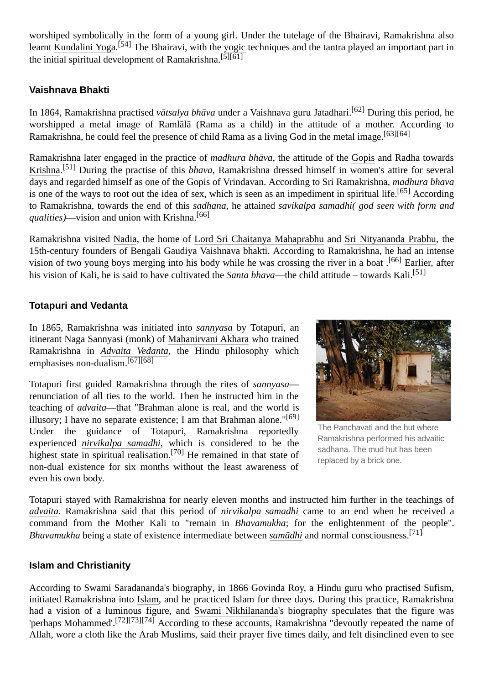worshiped symbolically in the form of a young girl. Under the tutelage of the Bhairavi, Ramakrishna also learnt [Kundalini Yoga](https://en.wikipedia.org/wiki/Kundalini_Yoga).<sup>[\[54\]](#page-15-32)</sup> The Bhairavi, with the [yogic](https://en.wikipedia.org/wiki/Yoga) techniques and the tantra played an important part in the initial spiritual development of Ramakrishna.<sup>[\[5\]](#page-14-4)[\[61\]](#page-16-5)</sup>

#### <span id="page-5-0"></span>**Vaishnava Bhakti**

In 1864, Ramakrishna practised *vātsalya bhāva* under a Vaishnava guru Jatadhari.[\[62\]](#page-16-6) During this period, he worshipped a metal image of Ramlālā (Rama as a child) in the attitude of a mother. According to Ramakrishna, he could feel the presence of child Rama as a living God in the metal image.<sup>[\[63\]](#page-16-7)[\[64\]](#page-16-8)</sup>

Ramakrishna later engaged in the practice of *madhura bhāva*, the attitude of the [Gopis](https://en.wikipedia.org/wiki/Gopi) and Radha towards [Krishna](https://en.wikipedia.org/wiki/Krishna). [\[51\]](#page-15-30) During the practise of this *bhava*, Ramakrishna dressed himself in women's attire for several days and regarded himself as one of the Gopis of Vrindavan. According to Sri Ramakrishna, *madhura bhava* is one of the ways to root out the idea of sex, which is seen as an impediment in spiritual life.<sup>[\[65\]](#page-16-9)</sup> According to Ramakrishna, towards the end of this *sadhana*, he attained *savikalpa samadhi( god seen with form and qualities)*—vision and union with Krishna.[\[66\]](#page-16-10)

Ramakrishna visited [Nadia](https://en.wikipedia.org/wiki/Nadia_district), the home of [Lord Sri Chaitanya Mahaprabhu](https://en.wikipedia.org/wiki/Chaitanya_Mahaprabhu) and [Sri Nityananda Prabhu](https://en.wikipedia.org/wiki/Nityananda), the 15th-century founders of Bengali [Gaudiya Vaishnava](https://en.wikipedia.org/wiki/Gaudiya_Vaishnava) bhakti. According to Ramakrishna, he had an intense vision of two young boys merging into his body while he was crossing the river in a boat .<sup>[\[66\]](#page-16-10)</sup> Earlier, after his vision of Kali, he is said to have cultivated the *Santa bhava*—the child attitude – towards Kali.[\[51\]](#page-15-30)

#### <span id="page-5-1"></span>**Totapuri and Vedanta**

In 1865, Ramakrishna was initiated into *[sannyasa](https://en.wikipedia.org/wiki/Sannyasa)* by Totapuri, an itinerant Naga Sannyasi (monk) of [Mahanirvani Akhara](https://en.wikipedia.org/wiki/Mahanirvani_Akhara) who trained Ramakrishna in *[Advaita Vedanta](https://en.wikipedia.org/wiki/Advaita_Vedanta)*, the Hindu philosophy which emphasises non-dualism.[\[67\]](#page-16-11)[\[68\]](#page-16-12)

Totapuri first guided Ramakrishna through the rites of *sannyasa* renunciation of all ties to the world. Then he instructed him in the teaching of *advaita*—that "Brahman alone is real, and the world is illusory; I have no separate existence; I am that Brahman alone." $[69]$ Under the guidance of Totapuri, Ramakrishna reportedly experienced *[nirvikalpa samadhi](https://en.wikipedia.org/wiki/Nirvikalpa_samadhi)*, which is considered to be the highest state in spiritual realisation.<sup>[\[70\]](#page-16-14)</sup> He remained in that state of non-dual existence for six months without the least awareness of even his own body.



The [Panchavati](https://en.wikipedia.org/wiki/Panchavati) and the hut where Ramakrishna performed his [advaitic](https://en.wikipedia.org/wiki/Advaita) [sadhana](https://en.wikipedia.org/wiki/Sadhana). The mud hut has been replaced by a brick one.

Totapuri stayed with Ramakrishna for nearly eleven months and instructed him further in the teachings of *[advaita](https://en.wikipedia.org/wiki/Advaita)*. Ramakrishna said that this period of *nirvikalpa samadhi* came to an end when he received a command from the Mother Kali to "remain in *Bhavamukha*; for the enlightenment of the people". *Bhavamukha* being a state of existence intermediate between *[samādhi](https://en.wikipedia.org/wiki/Sam%C4%81dhi)* and normal consciousness.[\[71\]](#page-16-15)

#### <span id="page-5-2"></span>**Islam and Christianity**

According to [Swami Saradananda](https://en.wikipedia.org/wiki/Swami_Saradananda)'s [biography](https://en.wikipedia.org/wiki/Sri_Ramakrishna,_the_Great_Master), in 1866 Govinda Roy, a Hindu guru who practised [Sufism](https://en.wikipedia.org/wiki/Sufism), initiated Ramakrishna into [Islam](https://en.wikipedia.org/wiki/Islam), and he practiced Islam for three days. During this practice, Ramakrishna had a vision of a luminous figure, and [Swami Nikhilananda](https://en.wikipedia.org/wiki/Swami_Nikhilananda)'s biography speculates that the figure was 'perhaps Mohammed'.[\[72\]](#page-16-16)[\[73\]](#page-16-17)[\[74\]](#page-16-18) According to these accounts, Ramakrishna "devoutly repeated the name of [Allah,](https://en.wikipedia.org/wiki/Allah) wore a cloth like the [Arab](https://en.wikipedia.org/wiki/Arab) [Muslims](https://en.wikipedia.org/wiki/Muslims), said their prayer five times daily, and felt disinclined even to see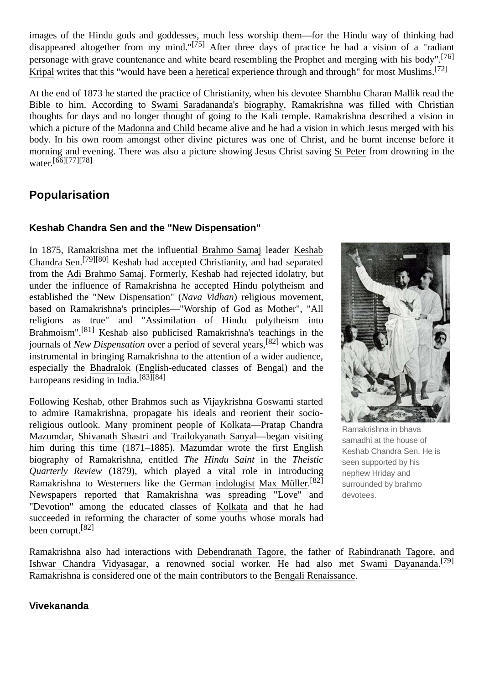images of the Hindu gods and goddesses, much less worship them—for the Hindu way of thinking had disappeared altogether from my mind."[\[75\]](#page-16-19) After three days of practice he had a vision of a "radiant personage with grave countenance and white beard resembling [the Prophet](https://en.wikipedia.org/wiki/Muhammad) and merging with his body".[\[76\]](#page-16-20) [Kripal](https://en.wikipedia.org/wiki/Jeffrey_Kripal) writes that this "would have been a [heretical](https://en.wikipedia.org/wiki/Heretical) experience through and through" for most Muslims.<sup>[\[72\]](#page-16-16)</sup>

At the end of 1873 he started the practice of Christianity, when his devotee Shambhu Charan Mallik read the Bible to him. According to [Swami Saradananda](https://en.wikipedia.org/wiki/Swami_Saradananda)'s [biography,](https://en.wikipedia.org/wiki/Sri_Ramakrishna,_the_Great_Master) Ramakrishna was filled with Christian thoughts for days and no longer thought of going to the Kali temple. Ramakrishna described a vision in which a picture of the [Madonna and Child](https://en.wikipedia.org/wiki/Madonna_and_Child) became alive and he had a vision in which Jesus merged with his body. In his own room amongst other divine pictures was one of Christ, and he burnt incense before it morning and evening. There was also a picture showing Jesus Christ saving [St Peter](https://en.wikipedia.org/wiki/St_Peter) from drowning in the water. [\[66\]](#page-16-10)[\[77\]](#page-16-21)[\[78\]](#page-16-22)

### <span id="page-6-0"></span>**Popularisation**

#### **Keshab Chandra Sen and the "New Dispensation"**

[In 1875, Ramakrishna met the influential](https://en.wikipedia.org/wiki/Keshab_Chandra_Sen) [Brahmo Samaj](https://en.wikipedia.org/wiki/Brahmo_Samaj) leader Keshab Chandra Sen.<sup>[\[79\]](#page-16-23)[\[80\]](#page-16-24)</sup> Keshab had accepted Christianity, and had separated from the [Adi Brahmo Samaj](https://en.wikipedia.org/wiki/Adi_Brahmo_Samaj). Formerly, Keshab had rejected idolatry, but under the influence of Ramakrishna he accepted Hindu polytheism and established the "New Dispensation" (*Nava Vidhan*) religious movement, based on Ramakrishna's principles—"Worship of God as Mother", "All religions as true" and "Assimilation of Hindu polytheism into Brahmoism".[\[81\]](#page-16-25) Keshab also publicised Ramakrishna's teachings in the journals of *New Dispensation* over a period of several years,[\[82\]](#page-17-0) which was instrumental in bringing Ramakrishna to the attention of a wider audience, especially the [Bhadralok](https://en.wikipedia.org/wiki/Bhadralok) (English-educated classes of Bengal) and the Europeans residing in India.<sup>[\[83\]](#page-17-1)[\[84\]](#page-17-2)</sup>

Following Keshab, other Brahmos such as Vijaykrishna Goswami started to admire Ramakrishna, propagate his ideals and reorient their socio[religious outlook. Many prominent people of Kolkata—Pratap Chandra](https://en.wikipedia.org/wiki/Pratap_Chandra_Mazumdar) Mazumdar, [Shivanath Shastri](https://en.wikipedia.org/w/index.php?title=Shivanath_Shastri&action=edit&redlink=1) and [Trailokyanath Sanyal—](https://en.wikipedia.org/wiki/Trailokyanath_Sanyal)began visiting him during this time (1871–1885). Mazumdar wrote the first English biography of Ramakrishna, entitled *The Hindu Saint* in the *Theistic Quarterly Review* (1879), which played a vital role in introducing Ramakrishna to Westerners like the German [indologist](https://en.wikipedia.org/wiki/Indologist) [Max Müller](https://en.wikipedia.org/wiki/Max_M%C3%BCller).<sup>[\[82\]](#page-17-0)</sup> Newspapers reported that Ramakrishna was spreading "Love" and "Devotion" among the educated classes of [Kolkata](https://en.wikipedia.org/wiki/Kolkata) and that he had succeeded in reforming the character of some youths whose morals had been corrupt.<sup>[\[82\]](#page-17-0)</sup>



[Ramakrishna](https://en.wikipedia.org/wiki/Bhava_samadhi) in bhava samadhi at the house of Keshab Chandra Sen. He is seen supported by his nephew Hriday and surrounded by brahmo devotees.

Ramakrishna also had interactions with [Debendranath Tagore](https://en.wikipedia.org/wiki/Debendranath_Tagore), the father of [Rabindranath Tagore,](https://en.wikipedia.org/wiki/Rabindranath_Tagore) and [Ishwar Chandra Vidyasagar,](https://en.wikipedia.org/wiki/Ishwar_Chandra_Vidyasagar) a renowned social worker. He had also met [Swami Dayananda](https://en.wikipedia.org/wiki/Dayananda_Saraswati). [\[79\]](#page-16-23) Ramakrishna is considered one of the main contributors to the [Bengali Renaissance](https://en.wikipedia.org/wiki/Bengali_Renaissance).

#### <span id="page-6-1"></span>**Vivekananda**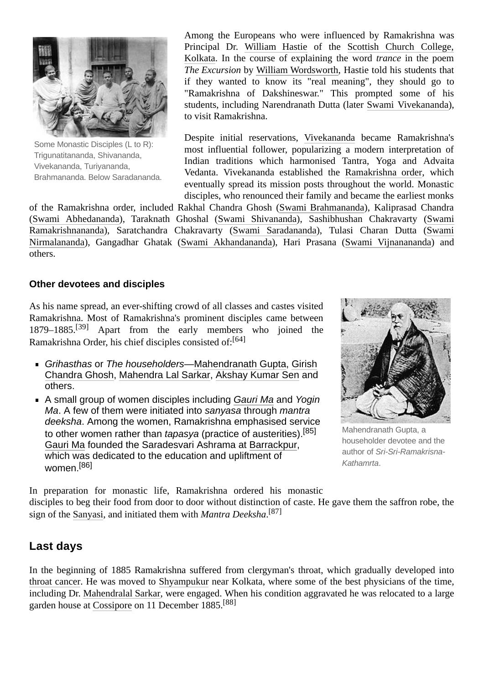

Some Monastic Disciples (L to R): [Trigunatitananda,](https://en.wikipedia.org/wiki/Trigunatitananda) [Shivananda,](https://en.wikipedia.org/wiki/Shivananda) [Vivekananda](https://en.wikipedia.org/wiki/Vivekananda), [Turiyananda,](https://en.wikipedia.org/wiki/Turiyananda) [Brahmananda.](https://en.wikipedia.org/wiki/Brahmananda) Below [Saradananda.](https://en.wikipedia.org/wiki/Saradananda)

Among the Europeans who were influenced by Ramakrishna was Principal Dr. [William Hastie](https://en.wikipedia.org/wiki/William_Hastie) of the Scottish Church College, [Kolkata. In the course of explaining the word](https://en.wikipedia.org/wiki/Scottish_Church_College,_Kolkata) *trance* in the poem *The Excursion* by [William Wordsworth](https://en.wikipedia.org/wiki/William_Wordsworth), Hastie told his students that if they wanted to know its "real meaning", they should go to "Ramakrishna of Dakshineswar." This prompted some of his students, including Narendranath Dutta (later [Swami Vivekananda\)](https://en.wikipedia.org/wiki/Swami_Vivekananda), to visit Ramakrishna.

Despite initial reservations, [Vivekananda](https://en.wikipedia.org/wiki/Vivekananda) became Ramakrishna's most influential follower, popularizing a modern interpretation of Indian traditions which harmonised Tantra, Yoga and Advaita Vedanta. Vivekananda established the [Ramakrishna order](https://en.wikipedia.org/wiki/Ramakrishna_order), which eventually spread its mission posts throughout the world. Monastic disciples, who renounced their family and became the earliest monks

of the Ramakrishna order, included Rakhal Chandra Ghosh ([Swami Brahmananda](https://en.wikipedia.org/w/index.php?title=Swami_Brahmananda&action=edit&redlink=1)), Kaliprasad Chandra [\(S](https://en.wikipedia.org/wiki/Swami_Ramakrishnananda)[wami Abhedananda](https://en.wikipedia.org/wiki/Swami_Abhedananda)[\), Taraknath Ghoshal \(](https://en.wikipedia.org/wiki/Swami_Ramakrishnananda)[Swami Shivanand](https://en.wikipedia.org/wiki/Swami_Shivananda)[a\), Sashibhushan Chakravarty \(Swami](https://en.wikipedia.org/wiki/Swami_Ramakrishnananda) [Ramakrishnananda\), Saratchandra Chakravarty \(S](https://en.wikipedia.org/wiki/Swami_Nirmalananda)[wami Saradanand](https://en.wikipedia.org/wiki/Swami_Saradananda)[a\), Tulasi Charan Dutta \(Swami](https://en.wikipedia.org/wiki/Swami_Nirmalananda) Nirmalananda), Gangadhar Ghatak ([Swami Akhandananda\)](https://en.wikipedia.org/wiki/Swami_Akhandananda), Hari Prasana ([Swami Vijnanananda](https://en.wikipedia.org/wiki/Swami_Vijnanananda)) and others.

#### <span id="page-7-0"></span>**Other devotees and disciples**

As his name spread, an ever-shifting crowd of all classes and castes visited Ramakrishna. Most of Ramakrishna's prominent disciples came between 1879–1885.[\[39\]](#page-15-19) Apart from the early members who joined the Ramakrishna Order, his chief disciples consisted of:<sup>[\[64\]](#page-16-8)</sup>

- *Grihasthas* or *The householders*—[Mahendranath Gupta](https://en.wikipedia.org/wiki/Mahendranath_Gupta), Girish [Chandra Ghosh, Mahendra Lal Sarkar, Akshay Kumar Sen and](https://en.wikipedia.org/wiki/Girish_Chandra_Ghosh) others.
- A small group of women disciples including *[Gauri Ma](https://en.wikipedia.org/wiki/Gauri_Ma)* and *Yogin Ma*. A few of them were initiated into *sanyasa* through *mantra deeksha*. Among the women, Ramakrishna emphasised service to other women rather than *tapasya* (practice of austerities).[\[85\]](#page-17-3) [Gauri Ma](https://en.wikipedia.org/wiki/Gauri_Ma) founded the Saradesvari Ashrama at [Barrackpur](https://en.wikipedia.org/wiki/Barrackpur), which was dedicated to the education and upliftment of women.<sup>[\[86\]](#page-17-4)</sup>



[Mahendranath](https://en.wikipedia.org/wiki/Mahendranath_Gupta) Gupta, a householder devotee and the author of *[Sri-Sri-Ramakrisna-](https://en.wikipedia.org/wiki/Sri-Sri-Ramakrisna-kathamrta)Kathamrta*.

In preparation for monastic life, Ramakrishna ordered his monastic disciples to beg their food from door to door without distinction of caste. He gave them the saffron robe, the sign of the [Sanyasi](https://en.wikipedia.org/wiki/Sanyasi), and initiated them with *Mantra Deeksha*. [\[87\]](#page-17-5)

### <span id="page-7-1"></span>**Last days**

In the beginning of 1885 Ramakrishna suffered from clergyman's throat, which gradually developed into [throat cancer](https://en.wikipedia.org/wiki/Head_and_neck_cancer). He was moved to [Shyampukur](https://en.wikipedia.org/wiki/Shyampukur) near Kolkata, where some of the best physicians of the time, including Dr. [Mahendralal Sarkar](https://en.wikipedia.org/wiki/Mahendralal_Sarkar), were engaged. When his condition aggravated he was relocated to a large garden house at [Cossipore](https://en.wikipedia.org/wiki/Cossipore) on 11 December 1885.[88]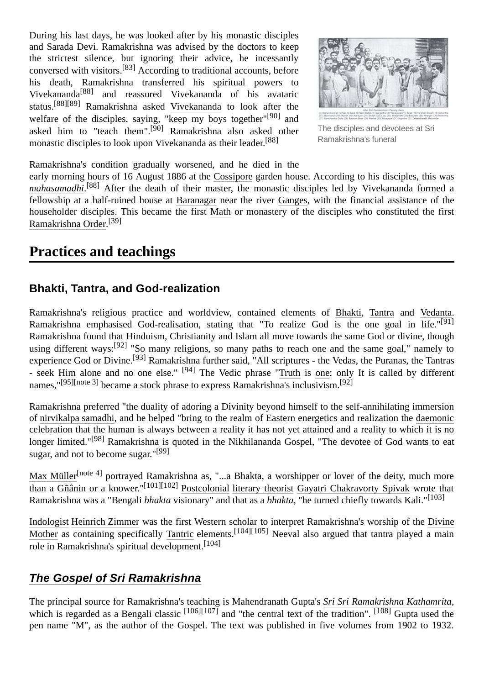During his last days, he was looked after by his monastic disciples and Sarada Devi. Ramakrishna was advised by the doctors to keep the strictest silence, but ignoring their advice, he incessantly conversed with visitors.[\[83\]](#page-17-1) According to traditional accounts, before his death, Ramakrishna transferred his spiritual powers to Vivekananda[88] and reassured Vivekananda of his avataric status.[88][\[89\]](#page-17-6) Ramakrishna asked [Vivekananda](https://en.wikipedia.org/wiki/Vivekananda) to look after the welfare of the disciples, saying, "keep my boys together"<sup>[\[90\]](#page-17-7)</sup> and asked him to "teach them".<sup>[\[90\]](#page-17-7)</sup> Ramakrishna also asked other monastic disciples to look upon Vivekananda as their leader.<sup>[88]</sup>



The disciples and devotees at Sri Ramakrishna's funeral

Ramakrishna's condition gradually worsened, and he died in the

early morning hours of 16 August 1886 at the [Cossipore](https://en.wikipedia.org/wiki/Cossipore) garden house. According to his disciples, this was *[mahasamadhi](https://en.wikipedia.org/wiki/Mahasamadhi)*. [88] After the death of their master, the monastic disciples led by Vivekananda formed a fellowship at a half-ruined house at [Baranagar](https://en.wikipedia.org/wiki/Baranagar) near the river [Ganges](https://en.wikipedia.org/wiki/Ganges), with the financial assistance of the householder disciples. This became the first [Math](https://en.wikipedia.org/wiki/Baranagar_Math) or monastery of the disciples who constituted the first [Ramakrishna Order.](https://en.wikipedia.org/wiki/Ramakrishna_Order) [\[39\]](#page-15-19)

### <span id="page-8-0"></span>**Practices and teachings**

#### <span id="page-8-1"></span>**Bhakti, Tantra, and God-realization**

Ramakrishna's religious practice and worldview, contained elements of [Bhakti,](https://en.wikipedia.org/wiki/Bhakti) [Tantra](https://en.wikipedia.org/wiki/Tantra) and [Vedanta.](https://en.wikipedia.org/wiki/Vedanta) Ramakrishna emphasised [God-realisation,](https://en.wikipedia.org/wiki/Mystical_experience) stating that "To realize God is the one goal in life."<sup>[\[91\]](#page-17-8)</sup> Ramakrishna found that Hinduism, Christianity and Islam all move towards the same God or divine, though using different ways:<sup>[92]</sup> "So many religions, so many paths to reach one and the same goal," namely to experience God or Divine.[\[93\]](#page-17-9) Ramakrishna further said, "All scriptures - the Vedas, the Puranas, the Tantras - seek Him alone and no one else." <sup>[\[94\]](#page-17-10)</sup> The Vedic phrase "[Truth](https://en.wikipedia.org/wiki/Sat_(Sanskrit)) is [one](https://en.wikipedia.org/wiki/Ekam); only It is called by different names,"<sup>[\[95\]](#page-17-11)[\[note](#page-14-15) 3]</sup> became a stock phrase to express Ramakrishna's inclusivism.<sup>[92]</sup>

Ramakrishna preferred "the duality of adoring a Divinity beyond himself to the self-annihilating immersion of [nirvikalpa samadhi,](https://en.wikipedia.org/wiki/Nirvikalpa_samadhi) and he helped "bring to the realm of Eastern energetics and realization the [daemonic](https://en.wikipedia.org/wiki/Daimon) celebration that the human is always between a reality it has not yet attained and a reality to which it is no longer limited."<sup>[\[98\]](#page-17-12)</sup> Ramakrishna is quoted in the Nikhilananda Gospel, "The devotee of God wants to eat sugar, and not to become sugar."<sup>[\[99\]](#page-17-13)</sup>

[Max Müller](https://en.wikipedia.org/wiki/Max_M%C3%BCller)<sup>[\[note](#page-14-16) 4]</sup> portrayed Ramakrishna as, "...a Bhakta, a worshipper or lover of the deity, much more than a Gñânin or a knower."[\[101\]](#page-17-14)[\[102\]](#page-17-15) [Postcolonial](https://en.wikipedia.org/wiki/Postcolonial) [literary theorist](https://en.wikipedia.org/wiki/Literary_theory) [Gayatri Chakravorty Spivak](https://en.wikipedia.org/wiki/Gayatri_Chakravorty_Spivak) wrote that Ramakrishna was a "Bengali *bhakta* visionary" and that as a *bhakta*, "he turned chiefly towards Kali."[\[103\]](#page-17-16)

[Indologist](https://en.wikipedia.org/wiki/Indologist) [Heinrich Zimmer](https://en.wikipedia.org/wiki/Heinrich_Zimmer) [was the first Western scholar to interpret Ramakrishna's worship of the Divine](https://en.wikipedia.org/wiki/Shakti) Mother as containing specifically [Tantric](https://en.wikipedia.org/wiki/Tantra) elements.<sup>[\[104\]](#page-17-17)[\[105\]](#page-17-18)</sup> Neeval also argued that tantra played a main role in Ramakrishna's spiritual development.[\[104\]](#page-17-17)

### <span id="page-8-2"></span>*The Gospel of Sri [Ramakrishna](https://en.wikipedia.org/wiki/The_Gospel_of_Sri_Ramakrishna)*

The principal source for Ramakrishna's teaching is Mahendranath Gupta's *[Sri Sri Ramakrishna Kathamrita](https://en.wikipedia.org/wiki/Sri_Sri_Ramakrishna_Kathamrita)*, which is regarded as a Bengali classic  $[106][107]$  $[106][107]$  and "the central text of the tradition".  $[108]$  Gupta used the pen name "M", as the author of the Gospel. The text was published in five volumes from 1902 to 1932.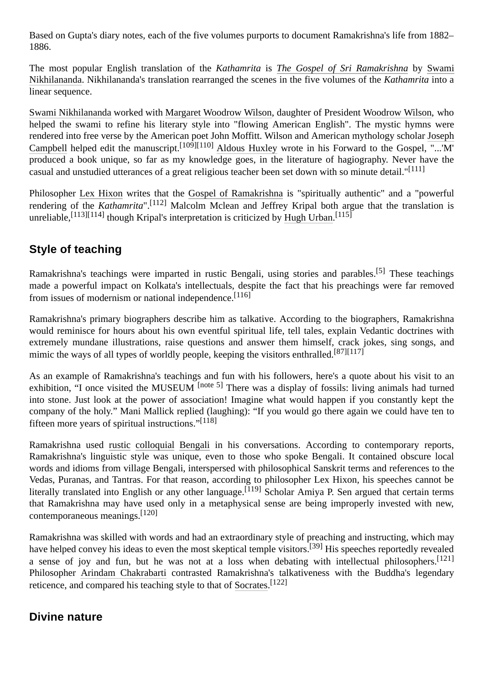Based on Gupta's diary notes, each of the five volumes purports to document Ramakrishna's life from 1882– 1886.

The most popular English translation of the *Kathamrita* is *[The Gospel of Sri Ramakrishna](https://en.wikipedia.org/wiki/The_Gospel_of_Sri_Ramakrishna)* by Swami [Nikhilananda. Nikhilananda's translation rearranged the scenes in the five volumes of the](https://en.wikipedia.org/wiki/Swami_Nikhilananda) *Kathamrita* into a linear sequence.

[Swami Nikhilananda](https://en.wikipedia.org/wiki/Swami_Nikhilananda) worked with [Margaret Woodrow Wilson,](https://en.wikipedia.org/wiki/Margaret_Woodrow_Wilson) daughter of President [Woodrow Wilson](https://en.wikipedia.org/wiki/Woodrow_Wilson), who helped the swami to refine his literary style into "flowing American English". The mystic hymns were [rendered into free verse by the American poet John Moffitt. Wilson and American mythology scholar Joseph](https://en.wikipedia.org/wiki/Joseph_Campbell) Campbell helped edit the manuscript.<sup>[\[109\]](#page-18-3)[\[110\]](#page-18-4)</sup> [Aldous Huxley](https://en.wikipedia.org/wiki/Aldous_Huxley) wrote in his Forward to the Gospel, "..." $M'$ produced a book unique, so far as my knowledge goes, in the literature of hagiography. Never have the casual and unstudied utterances of a great religious teacher been set down with so minute detail."[\[111\]](#page-18-5)

Philosopher [Lex Hixon](https://en.wikipedia.org/wiki/Lex_Hixon) writes that the [Gospel of Ramakrishna](https://en.wikipedia.org/wiki/Gospel_of_Ramakrishna) is "spiritually authentic" and a "powerful rendering of the *Kathamrita*".[\[112\]](#page-18-6) Malcolm Mclean and Jeffrey Kripal both argue that the translation is unreliable,  $^{[113][114]}$  $^{[113][114]}$  $^{[113][114]}$  $^{[113][114]}$  though Kripal's interpretation is criticized by [Hugh Urban.](https://en.wikipedia.org/wiki/Hugh_Urban)  $^{[115]}$  $^{[115]}$  $^{[115]}$ 

### <span id="page-9-0"></span>**Style of teaching**

Ramakrishna's teachings were imparted in rustic Bengali, using stories and parables.[\[5\]](#page-14-4) These teachings made a powerful impact on Kolkata's intellectuals, despite the fact that his preachings were far removed from issues of modernism or national independence.[\[116\]](#page-18-10)

Ramakrishna's primary biographers describe him as talkative. According to the biographers, Ramakrishna would reminisce for hours about his own eventful spiritual life, tell tales, explain Vedantic doctrines with extremely mundane illustrations, raise questions and answer them himself, crack jokes, sing songs, and mimic the ways of all types of worldly people, keeping the visitors enthralled.<sup>[\[87\]](#page-17-5)[\[117\]](#page-18-11)</sup>

As an example of Ramakrishna's teachings and fun with his followers, here's a quote about his visit to an exhibition, "I once visited the MUSEUM <sup>[\[note](#page-14-17) 5]</sup> There was a display of fossils: living animals had turned into stone. Just look at the power of association! Imagine what would happen if you constantly kept the company of the holy." Mani Mallick replied (laughing): "If you would go there again we could have ten to fifteen more years of spiritual instructions."[\[118\]](#page-18-12)

Ramakrishna used [rustic](https://en.wikipedia.org/wiki/Rural) [colloquial](https://en.wikipedia.org/wiki/Colloquial) [Bengali](https://en.wikipedia.org/wiki/Bengali_language) in his conversations. According to contemporary reports, Ramakrishna's linguistic style was unique, even to those who spoke Bengali. It contained obscure local words and idioms from village Bengali, interspersed with philosophical Sanskrit terms and references to the Vedas, Puranas, and Tantras. For that reason, according to philosopher Lex Hixon, his speeches cannot be literally translated into English or any other language.<sup>[\[119\]](#page-18-13)</sup> Scholar Amiya P. Sen argued that certain terms that Ramakrishna may have used only in a metaphysical sense are being improperly invested with new, contemporaneous meanings.[\[120\]](#page-18-14)

Ramakrishna was skilled with words and had an extraordinary style of preaching and instructing, which may have helped convey his ideas to even the most skeptical temple visitors.<sup>[\[39\]](#page-15-19)</sup> His speeches reportedly revealed a sense of joy and fun, but he was not at a loss when debating with intellectual philosophers.<sup>[\[121\]](#page-18-15)</sup> Philosopher [Arindam Chakrabarti](https://en.wikipedia.org/wiki/Arindam_Chakrabarti) contrasted Ramakrishna's talkativeness with the Buddha's legendary reticence, and compared his teaching style to that of [Socrates](https://en.wikipedia.org/wiki/Socrates).<sup>[\[122\]](#page-18-16)</sup>

### <span id="page-9-1"></span>**Divine nature**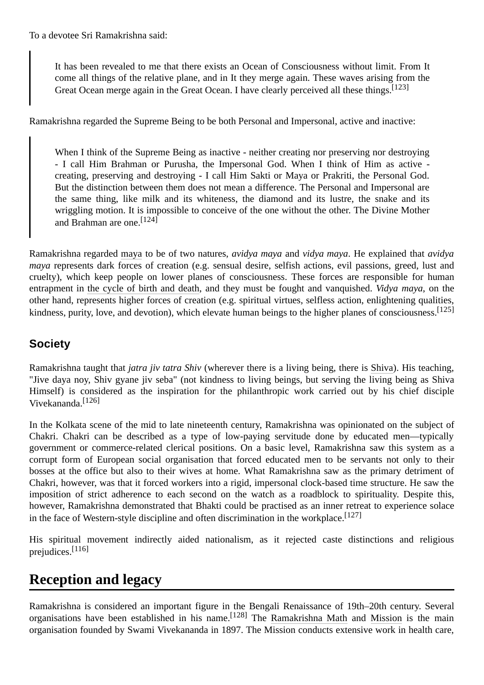It has been revealed to me that there exists an Ocean of Consciousness without limit. From It come all things of the relative plane, and in It they merge again. These waves arising from the Great Ocean merge again in the Great Ocean. I have clearly perceived all these things.<sup>[\[123\]](#page-18-17)</sup>

Ramakrishna regarded the Supreme Being to be both Personal and Impersonal, active and inactive:

When I think of the Supreme Being as inactive - neither creating nor preserving nor destroying - I call Him Brahman or Purusha, the Impersonal God. When I think of Him as active creating, preserving and destroying - I call Him Sakti or Maya or Prakriti, the Personal God. But the distinction between them does not mean a difference. The Personal and Impersonal are the same thing, like milk and its whiteness, the diamond and its lustre, the snake and its wriggling motion. It is impossible to conceive of the one without the other. The Divine Mother and Brahman are one<sup>[\[124\]](#page-18-18)</sup>

Ramakrishna regarded [maya](https://en.wikipedia.org/wiki/Maya_(Illusion)) to be of two natures, *avidya maya* and *vidya maya*. He explained that *avidya maya* represents dark forces of creation (e.g. sensual desire, selfish actions, evil passions, greed, lust and cruelty), which keep people on lower planes of consciousness. These forces are responsible for human entrapment in [the cycle of birth and death](https://en.wikipedia.org/wiki/Karma), and they must be fought and vanquished. *Vidya maya*, on the other hand, represents higher forces of creation (e.g. spiritual virtues, selfless action, enlightening qualities, kindness, purity, love, and devotion), which elevate human beings to the higher planes of consciousness.<sup>[\[125\]](#page-18-19)</sup>

### <span id="page-10-0"></span>**Society**

Ramakrishna taught that *jatra jiv tatra Shiv* (wherever there is a living being, there is [Shiva\)](https://en.wikipedia.org/wiki/Shiva). His teaching, "Jive daya noy, Shiv gyane jiv seba" (not kindness to living beings, but serving the living being as Shiva Himself) is considered as the inspiration for the philanthropic work carried out by his chief disciple Vivekananda.[\[126\]](#page-18-20)

In the Kolkata scene of the mid to late nineteenth century, Ramakrishna was opinionated on the subject of Chakri. Chakri can be described as a type of low-paying servitude done by educated men—typically government or commerce-related clerical positions. On a basic level, Ramakrishna saw this system as a corrupt form of European social organisation that forced educated men to be servants not only to their bosses at the office but also to their wives at home. What Ramakrishna saw as the primary detriment of Chakri, however, was that it forced workers into a rigid, impersonal clock-based time structure. He saw the imposition of strict adherence to each second on the watch as a roadblock to spirituality. Despite this, however, Ramakrishna demonstrated that Bhakti could be practised as an inner retreat to experience solace in the face of Western-style discipline and often discrimination in the workplace.  $[127]$ 

His spiritual movement indirectly aided nationalism, as it rejected caste distinctions and religious prejudices.[\[116\]](#page-18-10)

## <span id="page-10-1"></span>**Reception and legacy**

Ramakrishna is considered an important figure in the Bengali Renaissance of 19th–20th century. Several organisations have been established in his name.  $[128]$  The [Ramakrishna Math](https://en.wikipedia.org/wiki/Ramakrishna_Math) and [Mission](https://en.wikipedia.org/wiki/Ramakrishna_Mission) is the main organisation founded by Swami Vivekananda in 1897. The Mission conducts extensive work in health care,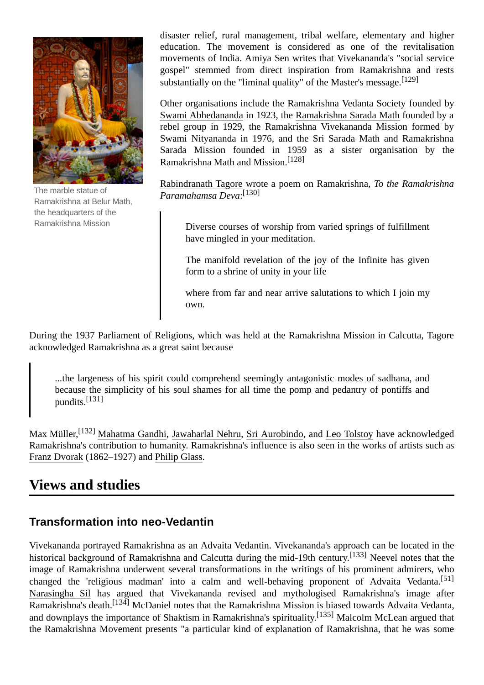

The marble statue of Ramakrishna at [Belur](https://en.wikipedia.org/wiki/Belur_Math) Math, the headquarters of the [Ramakrishna](https://en.wikipedia.org/wiki/Ramakrishna_Mission) Mission

disaster relief, rural management, tribal welfare, elementary and higher education. The movement is considered as one of the revitalisation movements of India. Amiya Sen writes that Vivekananda's "social service gospel" stemmed from direct inspiration from Ramakrishna and rests substantially on the "liminal quality" of the Master's message.  $[129]$ 

Other organisations include the [Ramakrishna Vedanta Society](https://en.wikipedia.org/wiki/Vedanta_Society) founded by [Swami Abhedananda](https://en.wikipedia.org/wiki/Swami_Abhedananda) in 1923, the [Ramakrishna Sarada Math](https://en.wikipedia.org/wiki/Ramakrishna_Sarada_Math) founded by a rebel group in 1929, the Ramakrishna Vivekananda Mission formed by Swami Nityananda in 1976, and the Sri Sarada Math and Ramakrishna Sarada Mission founded in 1959 as a sister organisation by the Ramakrishna Math and Mission.[\[128\]](#page-18-22)

[Rabindranath Tagore](https://en.wikipedia.org/wiki/Rabindranath_Tagore) wrote a poem on Ramakrishna, *To the Ramakrishna Paramahamsa Deva*: [\[130\]](#page-18-24)

Diverse courses of worship from varied springs of fulfillment have mingled in your meditation.

The manifold revelation of the joy of the Infinite has given form to a shrine of unity in your life

where from far and near arrive salutations to which I join my own.

During the 1937 Parliament of Religions, which was held at the Ramakrishna Mission in Calcutta, Tagore acknowledged Ramakrishna as a great saint because

...the largeness of his spirit could comprehend seemingly antagonistic modes of sadhana, and because the simplicity of his soul shames for all time the pomp and pedantry of pontiffs and pundits.<sup>[\[131\]](#page-19-0)</sup>

Max Müller,<sup>[\[132\]](#page-19-1)</sup> [Mahatma Gandhi,](https://en.wikipedia.org/wiki/Mahatma_Gandhi) [Jawaharlal Nehru](https://en.wikipedia.org/wiki/Jawaharlal_Nehru), [Sri Aurobindo](https://en.wikipedia.org/wiki/Sri_Aurobindo), and [Leo Tolstoy](https://en.wikipedia.org/wiki/Leo_Tolstoy) have acknowledged Ramakrishna's contribution to humanity. Ramakrishna's influence is also seen in the works of artists such as [Franz Dvorak](https://en.wikipedia.org/wiki/Franz_Dvorak) (1862–1927) and [Philip Glass](https://en.wikipedia.org/wiki/Philip_Glass).

## <span id="page-11-0"></span>**Views and studies**

### <span id="page-11-1"></span>**Transformation into neo-Vedantin**

Vivekananda portrayed Ramakrishna as an Advaita Vedantin. Vivekananda's approach can be located in the historical background of Ramakrishna and Calcutta during the mid-19th century.<sup>[\[133\]](#page-19-2)</sup> Neevel notes that the image of Ramakrishna underwent several transformations in the writings of his prominent admirers, who changed the 'religious madman' into a calm and well-behaving proponent of Advaita Vedanta.<sup>[\[51\]](#page-15-30)</sup> [Narasingha Sil](https://en.wikipedia.org/wiki/Narasingha_Sil) has argued that Vivekananda revised and mythologised Ramakrishna's image after Ramakrishna's death.<sup>[\[134\]](#page-19-3)</sup> McDaniel notes that the Ramakrishna Mission is biased towards Advaita Vedanta, and downplays the importance of Shaktism in Ramakrishna's spirituality.<sup>[\[135\]](#page-19-4)</sup> Malcolm McLean argued that the Ramakrishna Movement presents "a particular kind of explanation of Ramakrishna, that he was some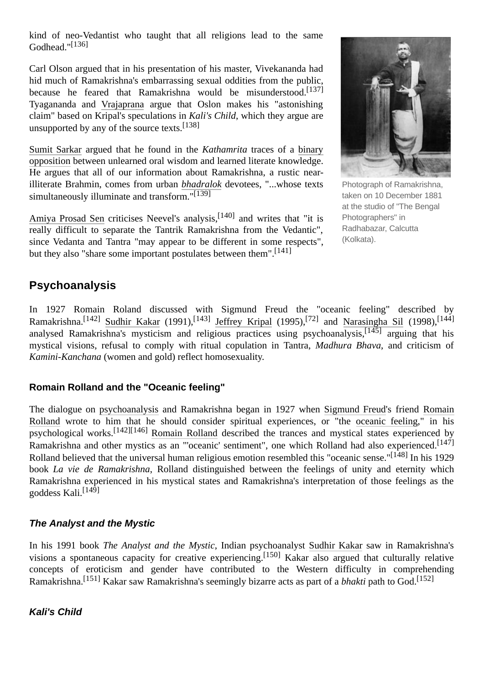kind of neo-Vedantist who taught that all religions lead to the same Godhead."<sup>[\[136\]](#page-19-5)</sup>

Carl Olson argued that in his presentation of his master, Vivekananda had hid much of Ramakrishna's embarrassing sexual oddities from the public, because he feared that Ramakrishna would be misunderstood.<sup>[\[137\]](#page-19-6)</sup> Tyagananda and [Vrajaprana](https://en.wikipedia.org/wiki/Vrajaprana) argue that Oslon makes his "astonishing claim" based on Kripal's speculations in *Kali's Child*, which they argue are unsupported by any of the source texts.<sup>[\[138\]](#page-19-7)</sup>

[Sumit Sarkar](https://en.wikipedia.org/wiki/Sumit_Sarkar) argued that he found in the *Kathamrita* traces of a binary opposition [between unlearned oral wisdom and learned literate knowledge.](https://en.wikipedia.org/wiki/Binary_opposition) He argues that all of our information about Ramakrishna, a rustic nearilliterate Brahmin, comes from urban *[bhadralok](https://en.wikipedia.org/wiki/Bhadralok)* devotees, "...whose texts simultaneously illuminate and transform."[\[139\]](#page-19-8)

[Amiya Prosad Sen](https://en.wikipedia.org/wiki/Amiya_Prosad_Sen) criticises Neevel's analysis,<sup>[\[140\]](#page-19-9)</sup> and writes that "it is really difficult to separate the Tantrik Ramakrishna from the Vedantic", since Vedanta and Tantra "may appear to be different in some respects", but they also "share some important postulates between them".<sup>[\[141\]](#page-19-10)</sup>



Photograph of Ramakrishna, taken on 10 December 1881 at the studio of "The Bengal Photographers" in Radhabazar, Calcutta (Kolkata).

### <span id="page-12-0"></span>**Psychoanalysis**

In 1927 Romain Roland discussed with Sigmund Freud the "oceanic feeling" described by Ramakrishna.<sup>[\[142\]](#page-19-11)</sup> [Sudhir Kakar](https://en.wikipedia.org/wiki/Sudhir_Kakar) (1991),<sup>[\[143\]](#page-19-12)</sup> [Jeffrey Kripal](https://en.wikipedia.org/wiki/Jeffrey_Kripal) (1995),<sup>[\[72\]](#page-16-16)</sup> and [Narasingha Sil](https://en.wikipedia.org/wiki/Narasingha_Sil) (1998),<sup>[\[144\]](#page-19-13)</sup> analysed Ramakrishna's mysticism and religious practices using psychoanalysis,<sup>[\[145\]](#page-19-14)</sup> arguing that his mystical visions, refusal to comply with ritual copulation in Tantra, *Madhura Bhava*, and criticism of *Kamini-Kanchana* (women and gold) reflect homosexuality.

#### **Romain Rolland and the "Oceanic feeling"**

The dialogue on [psychoanalysis](https://en.wikipedia.org/wiki/Psychoanalysis) and Ramakrishna began in 1927 when [Sigmund Freud](https://en.wikipedia.org/wiki/Sigmund_Freud)'s friend Romain Rolland [wrote to him that he should consider spiritual experiences, or "the oceanic feeling," in his](https://en.wikipedia.org/wiki/Romain_Rolland) psychological works.[\[142\]](#page-19-11)[\[146\]](#page-19-15) [Romain Rolland](https://en.wikipedia.org/wiki/Romain_Rolland) described the trances and mystical states experienced by Ramakrishna and other mystics as an "'oceanic' sentiment", one which Rolland had also experienced.<sup>[\[147\]](#page-19-16)</sup> Rolland believed that the universal human religious emotion resembled this "oceanic sense."<sup>[\[148\]](#page-19-17)</sup> In his 1929 book *La vie de Ramakrishna*, Rolland distinguished between the feelings of unity and eternity which Ramakrishna experienced in his mystical states and Ramakrishna's interpretation of those feelings as the goddess Kali.[\[149\]](#page-19-18)

#### <span id="page-12-1"></span>*The Analyst and the Mystic*

In his 1991 book *The Analyst and the Mystic*, Indian psychoanalyst [Sudhir Kakar](https://en.wikipedia.org/wiki/Sudhir_Kakar) saw in Ramakrishna's visions a spontaneous capacity for creative experiencing.[\[150\]](#page-19-19) Kakar also argued that culturally relative concepts of eroticism and gender have contributed to the Western difficulty in comprehending Ramakrishna.<sup>[\[151\]](#page-19-20)</sup> Kakar saw Ramakrishna's seemingly bizarre acts as part of a *bhakti* path to God.<sup>[\[152\]](#page-19-21)</sup>

<span id="page-12-2"></span>*Kali's Child*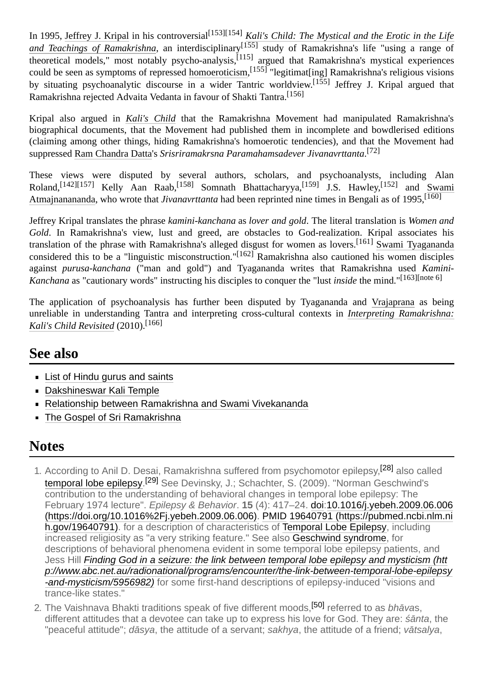In 1995, [Jeffrey J. Kripal](https://en.wikipedia.org/wiki/Jeffrey_J._Kripal) in his controversial<sup>[\[153\]](#page-19-22)[\[154\]](#page-19-23)</sup> *[Kali's Child: The Mystical and the Erotic in the Life](https://en.wikipedia.org/wiki/Kali%27s_Child:_The_Mystical_and_the_Erotic_in_the_Life_and_Teachings_of_Ramakrishna)* and Teachings of Ramakrishna, an interdisciplinary<sup>[\[155\]](#page-19-24)</sup> study of Ramakrishna's life "using a range of  $\overline{\text{theoretical models}}$ ," most notably psycho-analysis,  $\left[115\right]$  argued that Ramakrishna's mystical experiences could be seen as symptoms of repressed [homoeroticism,](https://en.wikipedia.org/wiki/Homoeroticism)<sup>[\[155\]](#page-19-24)</sup> "legitimat[ing] Ramakrishna's religious visions by situating psychoanalytic discourse in a wider Tantric worldview.<sup>[\[155\]](#page-19-24)</sup> Jeffrey J. Kripal argued that Ramakrishna rejected Advaita Vedanta in favour of Shakti Tantra.[\[156\]](#page-20-1)

Kripal also argued in *[Kali's Child](https://en.wikipedia.org/wiki/Kali%27s_Child)* that the Ramakrishna Movement had manipulated Ramakrishna's biographical documents, that the Movement had published them in incomplete and bowdlerised editions (claiming among other things, hiding Ramakrishna's homoerotic tendencies), and that the Movement had suppressed [Ram Chandra Datta](https://en.wikipedia.org/wiki/Ram_Chandra_Datta)'s *Srisriramakrsna Paramahamsadever Jivanavrttanta*. [\[72\]](#page-16-16)

These views were disputed by several authors, scholars, and psychoanalysts, including Alan Roland,<sup>[\[142\]](#page-19-11)[\[157\]](#page-20-2)</sup> Kelly Aan Raab,<sup>[158]</sup> Somnath Bhattacharyya,<sup>[\[159\]](#page-20-3)</sup> J.S. Hawley,<sup>[\[152\]](#page-19-21)</sup> and Swami Atmajnanananda, who wrote that *Jivanavrttanta* had been reprinted nine times in Bengali as of 1995.<sup>[\[160\]](#page-20-4)</sup>

Jeffrey Kripal translates the phrase *kamini-kanchana* as *lover and gold*. The literal translation is *Women and Gold*. In Ramakrishna's view, lust and greed, are obstacles to God-realization. Kripal associates his translation of the phrase with Ramakrishna's alleged disgust for women as lovers.[161] [Swami Tyagananda](https://en.wikipedia.org/wiki/Swami_Tyagananda) considered this to be a "linguistic misconstruction."<sup>[\[162\]](#page-20-5)</sup> Ramakrishna also cautioned his women disciples against *purusa-kanchana* ("man and gold") and Tyagananda writes that Ramakrishna used *Kamini-Kanchana* as "cautionary words" instructing his disciples to conquer the "lust *inside* the mind."[163[\]\[note](#page-14-18) 6]

The application of psychoanalysis has further been disputed by Tyagananda and [Vrajaprana](https://en.wikipedia.org/wiki/Vrajaprana) as being [unreliable in understanding Tantra and interpreting cross-cultural contexts in](https://en.wikipedia.org/wiki/Interpreting_Ramakrishna:_Kali%27s_Child_Revisited) *Interpreting Ramakrishna: Kali's Child Revisited* (2010).[\[166\]](#page-20-6)

## <span id="page-13-0"></span>**See also**

- **[List of Hindu gurus and saints](https://en.wikipedia.org/wiki/List_of_Hindu_gurus_and_saints)**
- [Dakshineswar Kali Temple](https://en.wikipedia.org/wiki/Dakshineswar_Kali_Temple)
- [Relationship between Ramakrishna and Swami Vivekananda](https://en.wikipedia.org/wiki/Relationship_between_Ramakrishna_and_Swami_Vivekananda)
- [The Gospel of Sri Ramakrishna](https://en.wikipedia.org/wiki/The_Gospel_of_Sri_Ramakrishna)

## <span id="page-13-1"></span>**Notes**

- <span id="page-13-2"></span>1. According to Anil D. Desai, Ramakrishna suffered from psychomotor epilepsy,<sup>[\[28\]](#page-15-10)</sup> also called **[temporal lobe epilepsy.](https://en.wikipedia.org/wiki/Temporal_lobe_epilepsy)<sup>[\[29\]](#page-15-33)</sup> See Devinsky, J.; Schachter, S. (2009). "Norman Geschwind's** contribution to the understanding of behavioral changes in temporal lobe epilepsy: The February 1974 lecture". *Epilepsy & Behavior*. **15** (4): 417–24. [doi](https://en.wikipedia.org/wiki/Doi_(identifier)):10.1016/j.yebeh.2009.06.006 [\(https://doi.org/10.1016%2Fj.yebeh.2009.06.006\). PMID](https://doi.org/10.1016%2Fj.yebeh.2009.06.006) 19640791 (https://pubmed.ncbi.nlm.ni [h.gov/19640791\). for a description of characteristics of Temporal Lobe Epilepsy, including](https://pubmed.ncbi.nlm.nih.gov/19640791) increased religiosity as "a very striking feature." See also [Geschwind syndrome,](https://en.wikipedia.org/wiki/Geschwind_syndrome) for descriptions of behavioral phenomena evident in some temporal lobe epilepsy patients, and Jess Hill *Finding God in a seizure: the link between temporal lobe epilepsy and mysticism (htt [p://www.abc.net.au/radionational/programs/encounter/the-link-between-temporal-lobe-epilepsy](http://www.abc.net.au/radionational/programs/encounter/the-link-between-temporal-lobe-epilepsy-and-mysticism/5956982) -and-mysticism/5956982)* for some first-hand descriptions of epilepsy-induced "visions and trance-like states."
- <span id="page-13-3"></span>2. The Vaishnava Bhakti traditions speak of five different moods,[\[50\]](#page-15-34) referred to as *bhāva*s, different attitudes that a devotee can take up to express his love for God. They are: *śānta*, the "peaceful attitude"; *dāsya*, the attitude of a servant; *sakhya*, the attitude of a friend; *vātsalya*,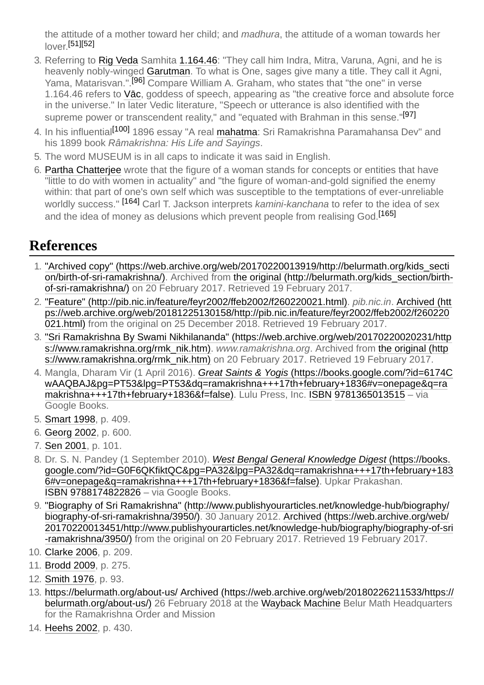the attitude of a mother toward her child; and *madhura*, the attitude of a woman towards her lover. [\[51\]](#page-15-30)[\[52\]](#page-15-35)

- <span id="page-14-15"></span>3. Referring to [Rig Veda](https://en.wikipedia.org/wiki/Rig_Veda) Samhita [1.164.46](https://en.wikipedia.org/wiki/Mandala_1): "They call him Indra, Mitra, Varuna, Agni, and he is heavenly nobly-winged [Garutman](https://en.wikipedia.org/wiki/Garuda). To what is One, sages give many a title. They call it Agni, Yama, Matarisvan.".<sup>[\[96\]](#page-17-19)</sup> Compare William A. Graham, who states that "the one" in verse 1.164.46 refers to [Vāc](https://en.wikipedia.org/wiki/V%C4%81c), goddess of speech, appearing as "the creative force and absolute force in the universe." In later Vedic literature, "Speech or utterance is also identified with the supreme power or transcendent reality," and "equated with Brahman in this sense."<sup>[\[97\]](#page-17-20)</sup>
- <span id="page-14-16"></span>4. In his influential<sup>[\[100\]](#page-17-21)</sup> 1896 essay "A real **mahatma**: Sri Ramakrishna Paramahansa Dev" and his 1899 book *Râmakrishna: His Life and Sayings*.
- <span id="page-14-17"></span>5. The word MUSEUM is in all caps to indicate it was said in English.
- <span id="page-14-18"></span>6. [Partha Chatterjee](https://en.wikipedia.org/wiki/Partha_Chatterjee_(scholar)) wrote that the figure of a woman stands for concepts or entities that have "little to do with women in actuality" and "the figure of woman-and-gold signified the enemy within: that part of one's own self which was susceptible to the temptations of ever-unreliable worldly success." [\[164\]](#page-20-7) Carl T. Jackson interprets *kamini-kanchana* to refer to the idea of sex and the idea of money as delusions which prevent people from realising God.<sup>[\[165\]](#page-20-8)</sup>

## <span id="page-14-13"></span>**References**

- <span id="page-14-0"></span>1. ["Archived copy" \(https://web.archive.org/web/20170220013919/http://belurmath.org/kids\\_secti](https://web.archive.org/web/20170220013919/http://belurmath.org/kids_section/birth-of-sri-ramakrishna/) [on/birth-of-sri-ramakrishna/\). Archived from the original \(http://belurmath.org/kids\\_section/birth](http://belurmath.org/kids_section/birth-of-sri-ramakrishna/)of-sri-ramakrishna/) on 20 February 2017. Retrieved 19 February 2017.
- <span id="page-14-1"></span>2. ["Feature" \(http://pib.nic.in/feature/feyr2002/ffeb2002/f260220021.html\)](http://pib.nic.in/feature/feyr2002/ffeb2002/f260220021.html). *pib.nic.in*. Archived (htt [ps://web.archive.org/web/20181225130158/http://pib.nic.in/feature/feyr2002/ffeb2002/f260220](https://web.archive.org/web/20181225130158/http://pib.nic.in/feature/feyr2002/ffeb2002/f260220021.html) 021.html) from the original on 25 December 2018. Retrieved 19 February 2017.
- <span id="page-14-2"></span>3. ["Sri Ramakrishna By Swami Nikhilananda" \(https://web.archive.org/web/20170220020231/http](https://web.archive.org/web/20170220020231/https://www.ramakrishna.org/rmk_nik.htm) s://www.ramakrishna.org/rmk\_nik.htm). www.ramakrishna.org. Archived from the original (http [s://www.ramakrishna.org/rmk\\_nik.htm\) on 20 February 2017. Retrieved 19 February 2017.](https://www.ramakrishna.org/rmk_nik.htm)
- <span id="page-14-3"></span>4. Mangla, Dharam Vir (1 April 2016). *Great Saints & Yogis* (https://books.google.com/?id=6174C [wAAQBAJ&pg=PT53&lpg=PT53&dq=ramakrishna+++17th+february+1836#v=onepage&q=ra](https://books.google.com/?id=6174CwAAQBAJ&pg=PT53&lpg=PT53&dq=ramakrishna+++17th+february+1836#v=onepage&q=ramakrishna+++17th+february+1836&f=false) makrishna+++17th+february+1836&f=false). Lulu Press, Inc. [ISBN](https://en.wikipedia.org/wiki/ISBN_(identifier)) [9781365013515](https://en.wikipedia.org/wiki/Special:BookSources/9781365013515) – via Google Books.
- <span id="page-14-4"></span>5. [Smart 1998](#page-22-2), p. 409.
- <span id="page-14-5"></span>6. Georg 2002, p. 600.
- <span id="page-14-6"></span>7. [Sen 2001,](#page-21-0) p. 101.
- <span id="page-14-7"></span>8. Dr. S. N. Pandey (1 September 2010). *West Bengal General Knowledge Digest* (https://books. [google.com/?id=G0F6QKfiktQC&pg=PA32&lpg=PA32&dq=ramakrishna+++17th+february+183](https://books.google.com/?id=G0F6QKfiktQC&pg=PA32&lpg=PA32&dq=ramakrishna+++17th+february+1836#v=onepage&q=ramakrishna+++17th+february+1836&f=false) 6#v=onepage&q=ramakrishna+++17th+february+1836&f=false). Upkar Prakashan. [ISBN](https://en.wikipedia.org/wiki/ISBN_(identifier)) [9788174822826](https://en.wikipedia.org/wiki/Special:BookSources/9788174822826) – via Google Books.
- <span id="page-14-8"></span>9. ["Biography of Sri Ramakrishna" \(http://www.publishyourarticles.net/knowledge-hub/biography/](http://www.publishyourarticles.net/knowledge-hub/biography/biography-of-sri-ramakrishna/3950/) biography-of-sri-ramakrishna/3950/). 30 January 2012. Archived (https://web.archive.org/web/ [20170220013451/http://www.publishyourarticles.net/knowledge-hub/biography/biography-of-sri](https://web.archive.org/web/20170220013451/http://www.publishyourarticles.net/knowledge-hub/biography/biography-of-sri-ramakrishna/3950/) -ramakrishna/3950/) from the original on 20 February 2017. Retrieved 19 February 2017.
- <span id="page-14-9"></span>10. [Clarke 2006,](#page-20-9) p. 209.
- <span id="page-14-10"></span>11. Brodd 2009, p. 275.
- <span id="page-14-11"></span>12. [Smith 1976,](#page-22-3) p. 93.
- <span id="page-14-12"></span>13. <https://belurmath.org/about-us/> Archived (https://web.archive.org/web/20180226211533/https:// [belurmath.org/about-us/\) 26 February 2018 at the Wayback Machine Belur Math Headquarters](https://web.archive.org/web/20180226211533/https://belurmath.org/about-us/) for the Ramakrishna Order and Mission
- <span id="page-14-14"></span>14. [Heehs 2002,](#page-21-1) p. 430.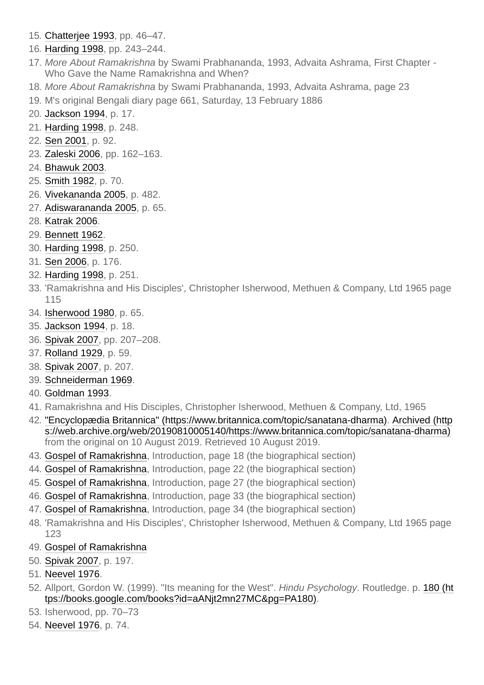- 15. [Chatterjee 1993](#page-20-10), pp. 46–47.
- 16. [Harding 1998,](#page-21-2) pp. 243–244.
- <span id="page-15-0"></span>17. *More About Ramakrishna* by Swami Prabhananda, 1993, Advaita Ashrama, First Chapter - Who Gave the Name Ramakrishna and When?
- <span id="page-15-1"></span>18. *More About Ramakrishna* by Swami Prabhananda, 1993, Advaita Ashrama, page 23
- <span id="page-15-2"></span>19. M's original Bengali diary page 661, Saturday, 13 February 1886
- <span id="page-15-3"></span>20. [Jackson 1994](#page-21-3), p. 17.
- <span id="page-15-4"></span>21. [Harding 1998,](#page-21-2) p. 248.
- <span id="page-15-5"></span>22. [Sen 2001,](#page-21-0) p. 92.
- 23. [Zaleski 2006](#page-22-4), pp. 162–163.
- <span id="page-15-6"></span>24. [Bhawuk 2003.](#page-20-11)
- <span id="page-15-7"></span>25. [Smith 1982,](#page-22-5) p. 70.
- <span id="page-15-8"></span>26. [Vivekananda 2005,](#page-22-6) p. 482.
- <span id="page-15-9"></span>27. [Adiswarananda 2005](#page-20-12), p. 65.
- <span id="page-15-10"></span>28. [Katrak 2006.](#page-21-4)
- <span id="page-15-33"></span>29. [Bennett 1962.](#page-20-13)
- <span id="page-15-11"></span>30. [Harding 1998,](#page-21-2) p. 250.
- <span id="page-15-12"></span>31. [Sen 2006,](#page-18-25) p. 176.
- <span id="page-15-13"></span>32. [Harding 1998,](#page-21-2) p. 251.
- <span id="page-15-14"></span>33. 'Ramakrishna and His Disciples', Christopher Isherwood, Methuen & Company, Ltd 1965 page 115
- <span id="page-15-15"></span>34. [Isherwood 1980](#page-21-5), p. 65.
- <span id="page-15-16"></span>35. [Jackson 1994](#page-21-3), p. 18.
- 36. Spivak 2007, pp. 207–208.
- <span id="page-15-17"></span>37. [Rolland 1929,](#page-16-26) p. 59.
- <span id="page-15-18"></span>38. Spivak 2007, p. 207.
- <span id="page-15-19"></span>39. [Schneiderman 1969.](#page-21-6)
- <span id="page-15-20"></span>40. Goldman 1993.
- <span id="page-15-21"></span>41. Ramakrishna and His Disciples, Christopher Isherwood, Methuen & Company, Ltd, 1965
- <span id="page-15-22"></span>42. ["Encyclopædia Britannica" \(https://www.britannica.com/topic/sanatana-dharma](https://www.britannica.com/topic/sanatana-dharma)[\). Archived \(http](https://web.archive.org/web/20190810005140/https://www.britannica.com/topic/sanatana-dharma) s://web.archive.org/web/20190810005140/https://www.britannica.com/topic/sanatana-dharma) from the original on 10 August 2019. Retrieved 10 August 2019.
- <span id="page-15-23"></span>43. [Gospel of Ramakrishna,](https://en.wikipedia.org/wiki/Gospel_of_Ramakrishna) Introduction, page 18 (the biographical section)
- <span id="page-15-24"></span>44. [Gospel of Ramakrishna,](https://en.wikipedia.org/wiki/Gospel_of_Ramakrishna) Introduction, page 22 (the biographical section)
- <span id="page-15-25"></span>45. [Gospel of Ramakrishna,](https://en.wikipedia.org/wiki/Gospel_of_Ramakrishna) Introduction, page 27 (the biographical section)
- <span id="page-15-26"></span>46. [Gospel of Ramakrishna,](https://en.wikipedia.org/wiki/Gospel_of_Ramakrishna) Introduction, page 33 (the biographical section)
- <span id="page-15-27"></span>47. [Gospel of Ramakrishna,](https://en.wikipedia.org/wiki/Gospel_of_Ramakrishna) Introduction, page 34 (the biographical section)
- <span id="page-15-28"></span>48. 'Ramakrishna and His Disciples', Christopher Isherwood, Methuen & Company, Ltd 1965 page 123
- <span id="page-15-29"></span>49. [Gospel of Ramakrishna](https://en.wikipedia.org/wiki/Gospel_of_Ramakrishna)
- <span id="page-15-34"></span>50. Spivak 2007, p. 197.
- <span id="page-15-30"></span>51. Neevel 1976.
- <span id="page-15-35"></span>52. Allport, Gordon W. (1999). "Its meaning for the West". *Hindu Psychology*. Routledge. p. 180 (ht [tps://books.google.com/books?id=aANjt2mn27MC&pg=PA180\).](https://books.google.com/books?id=aANjt2mn27MC&pg=PA180)
- <span id="page-15-31"></span>53. Isherwood, pp. 70–73
- <span id="page-15-32"></span>54. Neevel 1976, p. 74.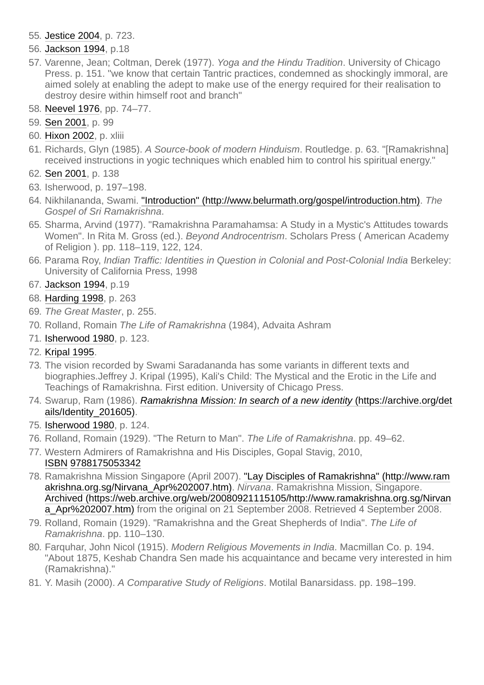- <span id="page-16-0"></span>55. [Jestice 2004](#page-21-7), p. 723.
- <span id="page-16-1"></span>56. [Jackson 1994](#page-21-3), p.18
- <span id="page-16-2"></span>57. Varenne, Jean; Coltman, Derek (1977). *Yoga and the Hindu Tradition*. University of Chicago Press. p. 151. "we know that certain Tantric practices, condemned as shockingly immoral, are aimed solely at enabling the adept to make use of the energy required for their realisation to destroy desire within himself root and branch"
- 58. Neevel 1976, pp. 74–77.
- <span id="page-16-3"></span>59. [Sen 2001,](#page-21-0) p. 99
- <span id="page-16-4"></span>60. [Hixon 2002,](#page-21-8) p. xliii
- <span id="page-16-5"></span>61. Richards, Glyn (1985). *A Source-book of modern Hinduism*. Routledge. p. 63. "[Ramakrishna] received instructions in yogic techniques which enabled him to control his spiritual energy."
- <span id="page-16-6"></span>62. [Sen 2001,](#page-21-0) p. 138
- <span id="page-16-7"></span>63. Isherwood, p. 197–198.
- <span id="page-16-8"></span>64. Nikhilananda, Swami. ["Introduction" \(http://www.belurmath.org/gospel/introduction.htm\).](http://www.belurmath.org/gospel/introduction.htm) *The Gospel of Sri Ramakrishna*.
- <span id="page-16-9"></span>65. Sharma, Arvind (1977). "Ramakrishna Paramahamsa: A Study in a Mystic's Attitudes towards Women". In Rita M. Gross (ed.). *Beyond Androcentrism*. Scholars Press ( American Academy of Religion ). pp. 118–119, 122, 124.
- <span id="page-16-10"></span>66. Parama Roy, *Indian Traffic: Identities in Question in Colonial and Post-Colonial India* Berkeley: University of California Press, 1998
- <span id="page-16-11"></span>67. [Jackson 1994](#page-21-3), p.19
- <span id="page-16-12"></span>68. [Harding 1998,](#page-21-2) p. 263
- <span id="page-16-13"></span>69. *The Great Master*, p. 255.
- <span id="page-16-14"></span>70. Rolland, Romain *The Life of Ramakrishna* (1984), Advaita Ashram
- <span id="page-16-15"></span>71. [Isherwood 1980](#page-21-5), p. 123.
- <span id="page-16-16"></span>72. [Kripal 1995.](#page-21-9)
- <span id="page-16-17"></span>73. The vision recorded by Swami Saradananda has some variants in different texts and biographies.Jeffrey J. Kripal (1995), Kali's Child: The Mystical and the Erotic in the Life and Teachings of Ramakrishna. First edition. University of Chicago Press.
- <span id="page-16-18"></span>74. Swarup, Ram (1986). *[Ramakrishna Mission: In search of a new identity](https://archive.org/details/Identity_201605)* (https://archive.org/det ails/Identity\_201605).
- <span id="page-16-19"></span>75. [Isherwood 1980](#page-21-5), p. 124.
- <span id="page-16-26"></span><span id="page-16-20"></span>76. Rolland, Romain (1929). "The Return to Man". *The Life of Ramakrishna*. pp. 49–62.
- <span id="page-16-21"></span>77. Western Admirers of Ramakrishna and His Disciples, Gopal Stavig, 2010, [ISBN](https://en.wikipedia.org/wiki/ISBN_(identifier)) [9788175053342](https://en.wikipedia.org/wiki/Special:BookSources/9788175053342)
- <span id="page-16-22"></span>78. [Ramakrishna Mission Singapore \(April 2007\). "Lay Disciples of Ramakrishna" \(http://www.ram](http://www.ramakrishna.org.sg/Nirvana_Apr%202007.htm) akrishna.org.sg/Nirvana\_Apr%202007.htm). *Nirvana*. Ramakrishna Mission, Singapore. [Archived \(https://web.archive.org/web/20080921115105/http://www.ramakrishna.org.sg/Nirvan](https://web.archive.org/web/20080921115105/http://www.ramakrishna.org.sg/Nirvana_Apr%202007.htm) a Apr%202007.htm) from the original on 21 September 2008. Retrieved 4 September 2008.
- <span id="page-16-23"></span>79. Rolland, Romain (1929). "Ramakrishna and the Great Shepherds of India". *The Life of Ramakrishna*. pp. 110–130.
- <span id="page-16-24"></span>80. Farquhar, John Nicol (1915). *Modern Religious Movements in India*. Macmillan Co. p. 194. "About 1875, Keshab Chandra Sen made his acquaintance and became very interested in him (Ramakrishna)."
- <span id="page-16-25"></span>81. Y. Masih (2000). *A Comparative Study of Religions*. Motilal Banarsidass. pp. 198–199.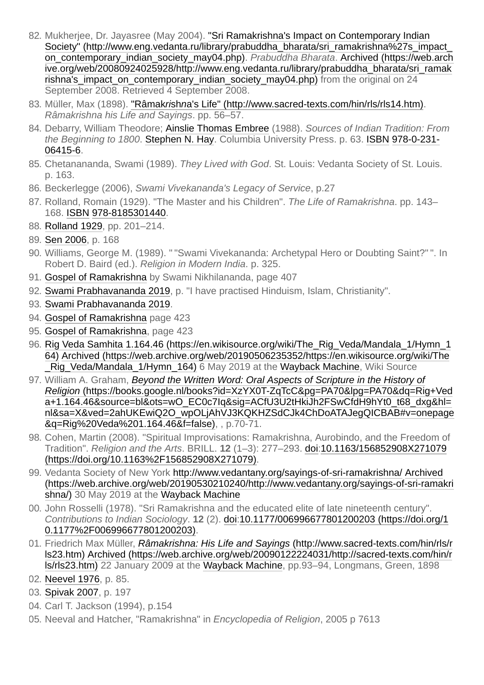- <span id="page-17-0"></span>82. Mukherjee, Dr. Jayasree (May 2004). "Sri Ramakrishna's Impact on Contemporary Indian Society" (http://www.eng.vedanta.ru/library/prabuddha\_bharata/sri\_ramakrishna%27s\_impact on\_contemporary\_indian\_society\_may04.php). *Prabuddha Bharata*. Archived (https://web.arch [ive.org/web/20080924025928/http://www.eng.vedanta.ru/library/prabuddha\\_bharata/sri\\_ramak](https://web.archive.org/web/20080924025928/http://www.eng.vedanta.ru/library/prabuddha_bharata/sri_ramakrishna) rishna's impact on contemporary indian society may04.php) from the original on 24 September 2008. Retrieved 4 September 2008.
- <span id="page-17-1"></span>83. Müller, Max (1898). "Râmak*ri*sh*n*[a's Life" \(http://www.sacred-texts.com/hin/rls/rls14.htm\)](http://www.sacred-texts.com/hin/rls/rls14.htm). *Râmakrishna his Life and Sayings*. pp. 56–57.
- <span id="page-17-2"></span>84. Debarry, William Theodore; [Ainslie Thomas Embree](https://en.wikipedia.org/wiki/Ainslie_Thomas_Embree) (1988). *Sources of Indian Tradition: From the Beginning to 1800*[. S](https://en.wikipedia.org/wiki/Special:BookSources/978-0-231-06415-6)[tephen N. Ha](https://en.wikipedia.org/w/index.php?title=Stephen_N._Hay&action=edit&redlink=1)[y. Columbia University Press. p. 63. I](https://en.wikipedia.org/wiki/Special:BookSources/978-0-231-06415-6)[SBN](https://en.wikipedia.org/wiki/ISBN_(identifier)) 978-0-231- 06415-6.
- <span id="page-17-3"></span>85. Chetanananda, Swami (1989). *They Lived with God*. St. Louis: Vedanta Society of St. Louis. p. 163.
- <span id="page-17-4"></span>86. Beckerlegge (2006), *Swami Vivekananda's Legacy of Service*, p.27
- <span id="page-17-5"></span>87. Rolland, Romain (1929). "The Master and his Children". *The Life of Ramakrishna*. pp. 143– 168. [ISBN](https://en.wikipedia.org/wiki/ISBN_(identifier)) [978-8185301440](https://en.wikipedia.org/wiki/Special:BookSources/978-8185301440).
- 88. [Rolland 1929,](#page-16-26) pp. 201–214.
- <span id="page-17-6"></span>89. [Sen 2006,](#page-18-25) p. 168
- <span id="page-17-7"></span>90. Williams, George M. (1989). " "Swami Vivekananda: Archetypal Hero or Doubting Saint?" ". In Robert D. Baird (ed.). *Religion in Modern India*. p. 325.
- <span id="page-17-8"></span>91. [Gospel of Ramakrishna](https://en.wikipedia.org/wiki/Gospel_of_Ramakrishna) by Swami Nikhilananda, page 407
- 92. [Swami Prabhavananda 2019](#page-21-10), p. "I have practised Hinduism, Islam, Christianity".
- <span id="page-17-9"></span>93. [Swami Prabhavananda 2019](#page-21-10).
- <span id="page-17-10"></span>94. [Gospel of Ramakrishna](https://en.wikipedia.org/wiki/Gospel_of_Ramakrishna) page 423
- <span id="page-17-11"></span>95. [Gospel of Ramakrishna,](https://en.wikipedia.org/wiki/Gospel_of_Ramakrishna) page 423
- <span id="page-17-19"></span>96. [Rig Veda Samhita 1.164.46 \(https://en.wikisource.org/wiki/The\\_Rig\\_Veda/Mandala\\_1/Hymn\\_1](https://en.wikisource.org/wiki/The_Rig_Veda/Mandala_1/Hymn_164) 64) [Archived \(https://web.archive.org/web/20190506235352/https://en.wikisource.org/wiki/The](https://web.archive.org/web/20190506235352/https://en.wikisource.org/wiki/The_Rig_Veda/Mandala_1/Hymn_164) Rig Veda/Mandala 1/Hymn 164) 6 May 2019 at the [Wayback Machine,](https://en.wikipedia.org/wiki/Wayback_Machine) Wiki Source
- <span id="page-17-20"></span>97. William A. Graham, *Beyond the Written Word: Oral Aspects of Scripture in the History of Religion* (https://books.google.nl/books?id=XzYX0T-ZqTcC&pg=PA70&lpg=PA70&dq=Rig+Ved a+1.164.46&source=bl&ots=wO\_EC0c7Iq&sig=ACfU3U2tHkiJh2FSwCfdH9hYt0\_t68\_dxg&hl= [nl&sa=X&ved=2ahUKEwiQ2O\\_wpOLjAhVJ3KQKHZSdCJk4ChDoATAJegQICBAB#v=onepage](https://books.google.nl/books?id=XzYX0T-ZqTcC&pg=PA70&lpg=PA70&dq=Rig+Veda+1.164.46&source=bl&ots=wO_EC0c7Iq&sig=ACfU3U2tHkiJh2FSwCfdH9hYt0_t68_dxg&hl=nl&sa=X&ved=2ahUKEwiQ2O_wpOLjAhVJ3KQKHZSdCJk4ChDoATAJegQICBAB#v=onepage&q=Rig%20Veda%201.164.46&f=false) &q=Rig%20Veda%201.164.46&f=false), , p.70-71.
- <span id="page-17-12"></span>98. Cohen, Martin (2008). "Spiritual Improvisations: Ramakrishna, Aurobindo, and the Freedom of Tradition". *Religion and the Arts*. BRILL. **12** [\(1–3\): 277–293.](https://doi.org/10.1163%2F156852908X271079) [doi](https://en.wikipedia.org/wiki/Doi_(identifier))[:10.1163/156852908X271079](https://doi.org/10.1163%2F156852908X271079) (https://doi.org/10.1163%2F156852908X271079).
- <span id="page-17-13"></span>99. Vedanta Society of New York <http://www.vedantany.org/sayings-of-sri-ramakrishna/> Archived [\(https://web.archive.org/web/20190530210240/http://www.vedantany.org/sayings-of-sri-ramakri](https://web.archive.org/web/20190530210240/http://www.vedantany.org/sayings-of-sri-ramakrishna/) shna/) 30 May 2019 at the [Wayback Machine](https://en.wikipedia.org/wiki/Wayback_Machine)
- <span id="page-17-21"></span>00. John Rosselli (1978). "Sri Ramakrishna and the educated elite of late nineteenth century". *Contributions to Indian Sociology*. **12** [\(2\).](https://doi.org/10.1177%2F006996677801200203) [do](https://en.wikipedia.org/wiki/Doi_(identifier))[i:10.1177/006996677801200203 \(https://doi.org/1](https://doi.org/10.1177%2F006996677801200203) 0.1177%2F006996677801200203).
- <span id="page-17-14"></span>01. Friedrich Max Müller, *Râmakrishna: His Life and Sayings* (http://www.sacred-texts.com/hin/rls/r ls23.htm) [Archived \(https://web.archive.org/web/20090122224031/http://sacred-texts.com/hin/r](http://www.sacred-texts.com/hin/rls/rls23.htm) [ls/rls23.htm\) 22 January 2009 at the Wayback Machine, pp.93–94, Longmans, Green, 1898](https://web.archive.org/web/20090122224031/http://sacred-texts.com/hin/rls/rls23.htm)
- <span id="page-17-15"></span>02. Neevel 1976, p. 85.
- <span id="page-17-16"></span>03. Spivak 2007, p. 197
- <span id="page-17-17"></span>04. Carl T. Jackson (1994), p.154
- <span id="page-17-18"></span>05. Neeval and Hatcher, "Ramakrishna" in *Encyclopedia of Religion*, 2005 p 7613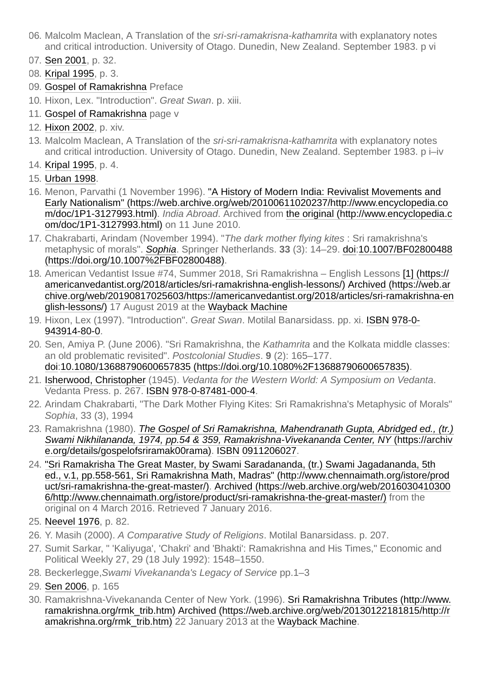- <span id="page-18-0"></span>06. Malcolm Maclean, A Translation of the *sri-sri-ramakrisna-kathamrita* with explanatory notes and critical introduction. University of Otago. Dunedin, New Zealand. September 1983. p vi
- <span id="page-18-1"></span>07. [Sen 2001,](#page-21-0) p. 32.
- <span id="page-18-2"></span>08. [Kripal 1995,](#page-21-9) p. 3.
- <span id="page-18-3"></span>09. [Gospel of Ramakrishna](https://en.wikipedia.org/wiki/Gospel_of_Ramakrishna) Preface
- <span id="page-18-4"></span>10. Hixon, Lex. "Introduction". *Great Swan*. p. xiii.
- <span id="page-18-5"></span>11. [Gospel of Ramakrishna](https://en.wikipedia.org/wiki/Gospel_of_Ramakrishna) page v
- <span id="page-18-6"></span>12. [Hixon 2002,](#page-21-8) p. xiv.
- <span id="page-18-7"></span>13. Malcolm Maclean, A Translation of the *sri-sri-ramakrisna-kathamrita* with explanatory notes and critical introduction. University of Otago. Dunedin, New Zealand. September 1983. p i–iv
- <span id="page-18-8"></span>14. [Kripal 1995,](#page-21-9) p. 4.
- <span id="page-18-9"></span>15. [Urban 1998.](#page-22-7)
- <span id="page-18-10"></span>16. Menon, Parvathi (1 November 1996). "A History of Modern India: Revivalist Movements and [Early Nationalism" \(https://web.archive.org/web/20100611020237/http://www.encyclopedia.co](https://web.archive.org/web/20100611020237/http://www.encyclopedia.com/doc/1P1-3127993.html) m/doc/1P1-3127993.html). *India Abroad*[. Archived from the original \(http://www.encyclopedia.c](http://www.encyclopedia.com/doc/1P1-3127993.html) om/doc/1P1-3127993.html) on 11 June 2010.
- <span id="page-18-11"></span>17. Chakrabarti, Arindam (November 1994). "*The dark mother flying kites* : Sri ramakrishna's metaphysic of morals". *[Sophia](https://en.wikipedia.org/wiki/Sophia_(journal))*. Springer Netherlands. **33** (3): 14–29. [doi:](https://en.wikipedia.org/wiki/Doi_(identifier))10.1007/BF02800488 [\(https://doi.org/10.1007%2FBF02800488\).](https://doi.org/10.1007%2FBF02800488)
- <span id="page-18-12"></span>18. [American Vedantist Issue #74, Summer 2018, Sri Ramakrishna – English Lessons \[1\] \(https://](https://americanvedantist.org/2018/articles/sri-ramakrishna-english-lessons/) americanvedantist.org/2018/articles/sri-ramakrishna-english-lessons/) Archived (https://web.ar [chive.org/web/20190817025603/https://americanvedantist.org/2018/articles/sri-ramakrishna-en](https://web.archive.org/web/20190817025603/https://americanvedantist.org/2018/articles/sri-ramakrishna-english-lessons/) glish-lessons/) 17 August 2019 at the [Wayback Machine](https://en.wikipedia.org/wiki/Wayback_Machine)
- <span id="page-18-13"></span>19. Hixon, Lex (1997). "Introduction". *Great Swan*[. Motilal Banarsidass. pp. xi. I](https://en.wikipedia.org/wiki/Special:BookSources/978-0-943914-80-0)[SBN](https://en.wikipedia.org/wiki/ISBN_(identifier)) 978-0- 943914-80-0.
- <span id="page-18-25"></span><span id="page-18-14"></span>20. Sen, Amiya P. (June 2006). "Sri Ramakrishna, the *Kathamrita* and the Kolkata middle classes: an old problematic revisited". *Postcolonial Studies*. **9** (2): 165–177. [doi](https://en.wikipedia.org/wiki/Doi_(identifier))[:10.1080/13688790600657835 \(https://doi.org/10.1080%2F13688790600657835\)](https://doi.org/10.1080%2F13688790600657835).
- <span id="page-18-15"></span>21. [Isherwood, Christopher](https://en.wikipedia.org/wiki/Christopher_Isherwood) (1945). *Vedanta for the Western World: A Symposium on Vedanta*. Vedanta Press. p. 267. [ISBN](https://en.wikipedia.org/wiki/ISBN_(identifier)) [978-0-87481-000-4](https://en.wikipedia.org/wiki/Special:BookSources/978-0-87481-000-4).
- <span id="page-18-16"></span>22. Arindam Chakrabarti, "The Dark Mother Flying Kites: Sri Ramakrishna's Metaphysic of Morals" *Sophia*, 33 (3), 1994
- <span id="page-18-17"></span>23. Ramakrishna (1980). *The Gospel of Sri Ramakrishna, Mahendranath Gupta, Abridged ed., (tr.) [Swami Nikhilananda, 1974, pp.54 & 359, Ramakrishna-Vivekananda Center, NY](https://archive.org/details/gospelofsriramak00rama)* (https://archiv e.org/details/gospelofsriramak00rama). [ISBN](https://en.wikipedia.org/wiki/ISBN_(identifier)) [0911206027.](https://en.wikipedia.org/wiki/Special:BookSources/0911206027)
- <span id="page-18-18"></span>24. "Sri Ramakrisha The Great Master, by Swami Saradananda, (tr.) Swami Jagadananda, 5th ed., v.1, pp.558-561, Sri Ramakrishna Math, Madras" (http://www.chennaimath.org/istore/prod [uct/sri-ramakrishna-the-great-master/\). Archived \(https://web.archive.org/web/201603041030](http://www.chennaimath.org/istore/product/sri-ramakrishna-the-great-master/)[0](https://web.archive.org/web/20160304103006/http://www.chennaimath.org/istore/product/sri-ramakrishna-the-great-master/) 6/http://www.chennaimath.org/istore/product/sri-ramakrishna-the-great-master/) from the original on 4 March 2016. Retrieved 7 January 2016.
- <span id="page-18-19"></span>25. Neevel 1976, p. 82.
- <span id="page-18-20"></span>26. Y. Masih (2000). *A Comparative Study of Religions*. Motilal Banarsidass. p. 207.
- <span id="page-18-21"></span>27. Sumit Sarkar, " 'Kaliyuga', 'Chakri' and 'Bhakti': Ramakrishna and His Times," Economic and Political Weekly 27, 29 (18 July 1992): 1548–1550.
- <span id="page-18-22"></span>28. Beckerlegge,*Swami Vivekananda's Legacy of Service* pp.1–3
- <span id="page-18-23"></span>29. [Sen 2006,](#page-18-25) p. 165
- <span id="page-18-24"></span>30. [Ramakrishna-Vivekananda Center of New York. \(1996\). Sri Ramakrishna Tributes \(http://www.](http://www.ramakrishna.org/rmk_trib.htm) ramakrishna.org/rmk\_trib.htm) Archived (https://web.archive.org/web/20130122181815/http://r amakrishna.org/rmk trib.htm) 22 January 2013 at the Wayback Machine.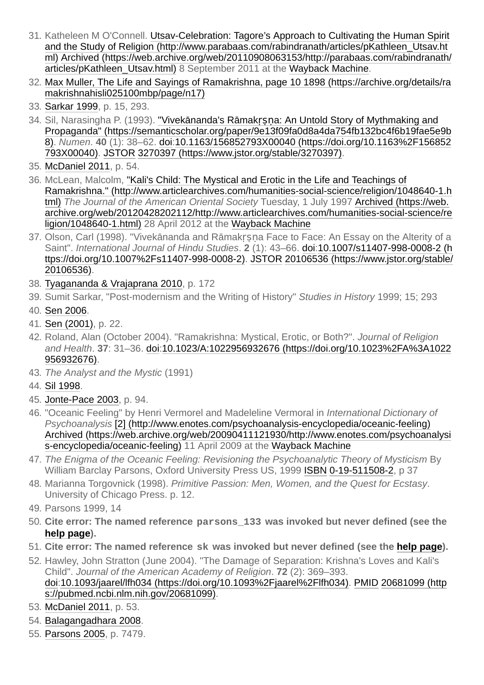- <span id="page-19-0"></span>31. [Katheleen M O'Connell. Utsav-Celebration: Tagore's Approach to Cultivating the Human Spirit](http://www.parabaas.com/rabindranath/articles/pKathleen_Utsav.html) and the Study of Religion (http://www.parabaas.com/rabindranath/articles/pKathleen\_Utsav.ht ml) [Archived \(https://web.archive.org/web/20110908063153/http://parabaas.com/rabindranath/](https://web.archive.org/web/20110908063153/http://parabaas.com/rabindranath/articles/pKathleen_Utsav.html) articles/pKathleen Utsav.html) 8 September 2011 at the [Wayback Machine.](https://en.wikipedia.org/wiki/Wayback_Machine)
- <span id="page-19-1"></span>32. [Max Muller, The Life and Sayings of Ramakrishna, page 10 1898 \(https://archive.org/details/ra](https://archive.org/details/ramakrishnahisli025100mbp/page/n17) makrishnahisli025100mbp/page/n17)
- <span id="page-19-2"></span>33. Sarkar 1999, p. 15, 293.
- <span id="page-19-3"></span>34. Sil, Narasingha P. (1993). "Vivekānanda's Rāmakṛṣṇa: An Untold Story of Mythmaking and [Propaganda" \(https://semanticscholar.org/paper/9e13f09fa0d8a4da754fb132bc4f6b19fae5e9b](https://semanticscholar.org/paper/9e13f09fa0d8a4da754fb132bc4f6b19fae5e9b8) 8). *Numen*. **40** [\(1\): 38–62.](https://doi.org/10.1163%2F156852793X00040) [do](https://en.wikipedia.org/wiki/Doi_(identifier))[i:10.1163/156852793X00040 \(https://doi.org/10.1163%2F156852](https://doi.org/10.1163%2F156852793X00040) 793X00040). [JSTOR](https://en.wikipedia.org/wiki/JSTOR_(identifier)) [3270397 \(https://www.jstor.org/stable/3270397\).](https://www.jstor.org/stable/3270397)
- <span id="page-19-4"></span>35. [McDaniel 2011](#page-21-11), p. 54.
- <span id="page-19-5"></span>36. McLean, Malcolm, "Kali's Child: The Mystical and Erotic in the Life and Teachings of [Ramakrishna." \(http://www.articlearchives.com/humanities-social-science/religion/1048640-1.h](http://www.articlearchives.com/humanities-social-science/religion/1048640-1.html) tml) *The Journal of the American Oriental Society* Tuesday, 1 July 1997 Archived (https://web. [archive.org/web/20120428202112/http://www.articlearchives.com/humanities-social-science/re](https://web.archive.org/web/20120428202112/http://www.articlearchives.com/humanities-social-science/religion/1048640-1.html) ligion/1048640-1.html) 28 April 2012 at the [Wayback Machine](https://en.wikipedia.org/wiki/Wayback_Machine)
- <span id="page-19-6"></span>37. Olson, Carl (1998). "Vivekānanda and Rāmakṛṣṇa Face to Face: An Essay on the Alterity of a Saint". *International Journal of Hindu Studies*. **2** (1): 43–66. [doi:](https://en.wikipedia.org/wiki/Doi_(identifier))10.1007/s11407-998-0008-2 (h [ttps://doi.org/10.1007%2Fs11407-998-0008-2\). JSTOR](https://doi.org/10.1007%2Fs11407-998-0008-2) 20106536 (https://www.jstor.org/stable/ 20106536).
- <span id="page-19-7"></span>38. [Tyagananda & Vrajaprana 2010](#page-22-8), p. 172
- <span id="page-19-8"></span>39. Sumit Sarkar, "Post-modernism and the Writing of History" *Studies in History* 1999; 15; 293
- <span id="page-19-9"></span>40. [Sen 2006.](#page-18-25)
- <span id="page-19-10"></span>41. [Sen \(2001\),](#page-21-0) p. 22.
- <span id="page-19-11"></span>42. Roland, Alan (October 2004). "Ramakrishna: Mystical, Erotic, or Both?". *Journal of Religion and Health*. **37**[: 31–36.](https://doi.org/10.1023%2FA%3A1022956932676) [do](https://en.wikipedia.org/wiki/Doi_(identifier))[i:10.1023/A:1022956932676 \(https://doi.org/10.1023%2FA%3A1022](https://doi.org/10.1023%2FA%3A1022956932676) 956932676).
- <span id="page-19-12"></span>43. *The Analyst and the Mystic* (1991)
- <span id="page-19-13"></span>44. [Sil 1998](#page-22-9).
- <span id="page-19-14"></span>45. [Jonte-Pace 2003,](#page-21-12) p. 94.
- <span id="page-19-15"></span>46. "Oceanic Feeling" by Henri Vermorel and Madeleline Vermoral in *International Dictionary of Psychoanalysis* [\[2\] \(http://www.enotes.com/psychoanalysis-encyclopedia/oceanic-feeling\)](http://www.enotes.com/psychoanalysis-encyclopedia/oceanic-feeling) [Archived \(https://web.archive.org/web/20090411121930/http://www.enotes.com/psychoanalysi](https://web.archive.org/web/20090411121930/http://www.enotes.com/psychoanalysis-encyclopedia/oceanic-feeling) s-encyclopedia/oceanic-feeling) 11 April 2009 at the [Wayback Machine](https://en.wikipedia.org/wiki/Wayback_Machine)
- <span id="page-19-16"></span>47. *The Enigma of the Oceanic Feeling: Revisioning the Psychoanalytic Theory of Mysticism* By William Barclay Parsons, Oxford University Press US, 1999 [ISBN](https://en.wikipedia.org/wiki/ISBN_(identifier)) [0-19-511508-2](https://en.wikipedia.org/wiki/Special:BookSources/0-19-511508-2), p 37
- <span id="page-19-17"></span>48. Marianna Torgovnick (1998). *Primitive Passion: Men, Women, and the Quest for Ecstasy*. University of Chicago Press. p. 12.
- <span id="page-19-18"></span>49. Parsons 1999, 14
- <span id="page-19-19"></span>50. **Cite error: The named reference parsons\_133 was invoked but never defined (see the [help page](https://en.wikipedia.org/wiki/Help:Cite_errors/Cite_error_references_no_text)).**
- <span id="page-19-20"></span>51. **Cite error: The named reference sk was invoked but never defined (see the [help page](https://en.wikipedia.org/wiki/Help:Cite_errors/Cite_error_references_no_text)).**
- <span id="page-19-21"></span>52. Hawley, John Stratton (June 2004). "The Damage of Separation: Krishna's Loves and Kali's Child". *Journal of the American Academy of Religion*. **72** (2): 369–393. [do](https://en.wikipedia.org/wiki/Doi_(identifier))[i:](https://pubmed.ncbi.nlm.nih.gov/20681099)[10.1093/jaarel/lfh034 \(https://doi.org/10.1093%2Fjaarel%2Flfh034\)](https://doi.org/10.1093%2Fjaarel%2Flfh034)[. P](https://pubmed.ncbi.nlm.nih.gov/20681099)[MID](https://en.wikipedia.org/wiki/PMID_(identifier)) 20681099 (http s://pubmed.ncbi.nlm.nih.gov/20681099).
- <span id="page-19-22"></span>53. [McDaniel 2011](#page-21-11), p. 53.
- <span id="page-19-23"></span>54. Balagangadhara 2008.
- <span id="page-19-24"></span>55. [Parsons 2005](#page-21-13), p. 7479.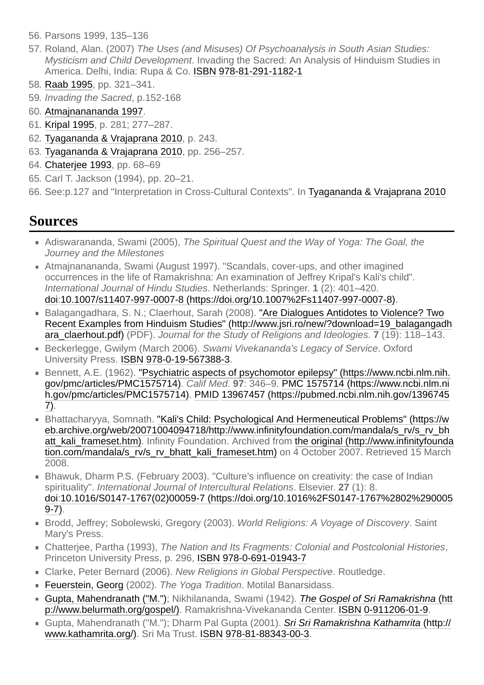- <span id="page-20-1"></span>56. Parsons 1999, 135–136
- <span id="page-20-2"></span>57. Roland, Alan. (2007) *The Uses (and Misuses) Of Psychoanalysis in South Asian Studies: Mysticism and Child Development*. Invading the Sacred: An Analysis of Hinduism Studies in America. Delhi, India: Rupa & Co. [ISBN](https://en.wikipedia.org/wiki/ISBN_(identifier)) [978-81-291-1182-1](https://en.wikipedia.org/wiki/Special:BookSources/978-81-291-1182-1)
- 58. [Raab 1995,](#page-21-14) pp. 321–341.
- <span id="page-20-3"></span>59. *Invading the Sacred*, p.152-168
- <span id="page-20-4"></span>60. [Atmajnanananda 1997](#page-20-14).
- 61. [Kripal 1995,](#page-21-9) p. 281; 277–287.
- <span id="page-20-5"></span>62. [Tyagananda & Vrajaprana 2010](#page-22-8), p. 243.
- 63. [Tyagananda & Vrajaprana 2010](#page-22-8), pp. 256–257.
- <span id="page-20-7"></span>64. Chaterjee 1993, pp. 68–69
- <span id="page-20-8"></span>65. Carl T. Jackson (1994), pp. 20–21.
- <span id="page-20-6"></span>66. See:p.127 and "Interpretation in Cross-Cultural Contexts". In [Tyagananda & Vrajaprana 2010](#page-22-8)

### <span id="page-20-0"></span>**Sources**

- <span id="page-20-12"></span>Adiswarananda, Swami (2005), *The Spiritual Quest and the Way of Yoga: The Goal, the Journey and the Milestones*
- <span id="page-20-14"></span>Atmajnanananda, Swami (August 1997). "Scandals, cover-ups, and other imagined occurrences in the life of Ramakrishna: An examination of Jeffrey Kripal's Kali's child". *International Journal of Hindu Studies*. Netherlands: Springer. **1** (2): 401–420. [doi](https://en.wikipedia.org/wiki/Doi_(identifier))[:10.1007/s11407-997-0007-8 \(https://doi.org/10.1007%2Fs11407-997-0007-8\)](https://doi.org/10.1007%2Fs11407-997-0007-8).
- Balagangadhara, S. N.; Claerhout, Sarah (2008). "Are Dialogues Antidotes to Violence? Two [Recent Examples from Hinduism Studies" \(http://www.jsri.ro/new/?download=19\\_balagangadh](http://www.jsri.ro/new/?download=19_balagangadhara_claerhout.pdf) ara\_claerhout.pdf) (PDF). *Journal for the Study of Religions and Ideologies*. **7** (19): 118–143.
- Beckerlegge, Gwilym (March 2006). *Swami Vivekananda's Legacy of Service*. Oxford University Press. [ISBN](https://en.wikipedia.org/wiki/ISBN_(identifier)) [978-0-19-567388-3.](https://en.wikipedia.org/wiki/Special:BookSources/978-0-19-567388-3)
- <span id="page-20-13"></span>■ [Bennett, A.E. \(1962\). "Psychiatric aspects of psychomotor epilepsy" \(https://www.ncbi.nlm.nih.](https://www.ncbi.nlm.nih.gov/pmc/articles/PMC1575714) gov/pmc/articles/PMC1575714). *Calif Med*. **97**: 346–9. [PMC](https://en.wikipedia.org/wiki/PMC_(identifier)) 1575714 (https://www.ncbi.nlm.ni h.gov/pmc/articles/PMC1575714). [PMID](https://en.wikipedia.org/wiki/PMID_(identifier)) [13967457 \(https://pubmed.ncbi.nlm.nih.gov/1396745](https://www.ncbi.nlm.nih.gov/pmc/articles/PMC1575714) 7).
- Bhattacharyya, Somnath. "Kali's Child: Psychological And Hermeneutical Problems" (https://w eb.archive.org/web/20071004094718/http://www.infinityfoundation.com/mandala/s\_rv/s\_rv\_bh [a](http://www.infinityfoundation.com/mandala/s_rv/s_rv_bhatt_kali_frameset.htm)tt kali frameset.htm). Infinity Foundation. Archived from the original (http://www.infinityfounda tion.com/mandala/s\_rv/s\_rv\_bhatt\_kali\_frameset.htm) on 4 October 2007. Retrieved 15 March 2008.
- <span id="page-20-11"></span>**Bhawuk, Dharm P.S. (February 2003). "Culture's influence on creativity: the case of Indian** spirituality". *International Journal of Intercultural Relations*. Elsevier. **27** (1): 8. [do](https://en.wikipedia.org/wiki/Doi_(identifier))[i:10.1016/S0147-1767\(02\)00059-7 \(https://doi.org/10.1016%2FS0147-1767%2802%290005](https://doi.org/10.1016%2FS0147-1767%2802%2900059-7) 9-7).
- Brodd, Jeffrey; Sobolewski, Gregory (2003). *World Religions: A Voyage of Discovery*. Saint Mary's Press.
- <span id="page-20-10"></span>Chatterjee, Partha (1993), *The Nation and Its Fragments: Colonial and Postcolonial Histories*, Princeton University Press, p. 296, [ISBN](https://en.wikipedia.org/wiki/ISBN_(identifier)) [978-0-691-01943-7](https://en.wikipedia.org/wiki/Special:BookSources/978-0-691-01943-7)
- <span id="page-20-9"></span>Clarke, Peter Bernard (2006). *New Religions in Global Perspective*. Routledge.
- [Feuerstein, Georg](https://en.wikipedia.org/wiki/Georg_Feuerstein) (2002). *The Yoga Tradition*. Motilal Banarsidass.
- [Gupta, Mahendranath \("M."\)](https://en.wikipedia.org/wiki/Swami_Nikhilananda); Nikhilananda, Swami (1942). *The Gospel of Sri Ramakrishna* (htt [p://www.belurmath.org/gospel/\). Ramakrishna-Vivekananda Center. ISBN](http://www.belurmath.org/gospel/) [0-911206-01-9.](https://en.wikipedia.org/wiki/Special:BookSources/0-911206-01-9)
- [Gupta, Mahendranath \("M."\); Dharm Pal Gupta \(2001\).](http://www.kathamrita.org/) *Sri Sri Ramakrishna Kathamrita* (http:// www.kathamrita.org/). Sri Ma Trust. [ISBN](https://en.wikipedia.org/wiki/ISBN_(identifier)) [978-81-88343-00-3](https://en.wikipedia.org/wiki/Special:BookSources/978-81-88343-00-3).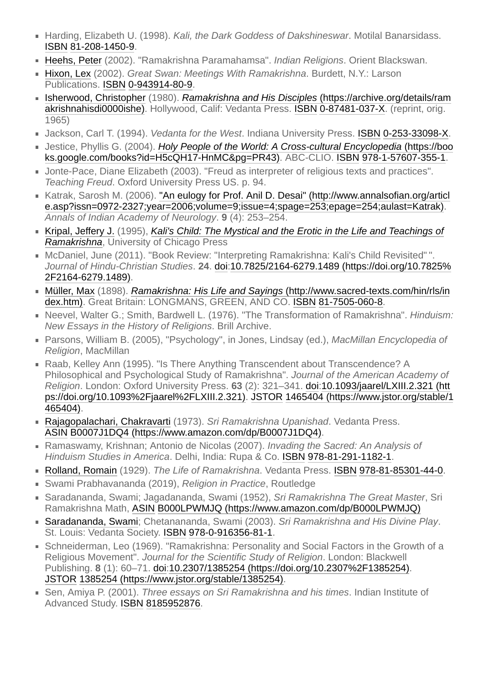- <span id="page-21-2"></span>■ Harding, Elizabeth U. (1998). *Kali, the Dark Goddess of Dakshineswar*. Motilal Banarsidass. [ISBN](https://en.wikipedia.org/wiki/ISBN_(identifier)) [81-208-1450-9](https://en.wikipedia.org/wiki/Special:BookSources/81-208-1450-9).
- <span id="page-21-1"></span>[Heehs, Peter](https://en.wikipedia.org/wiki/Peter_Heehs) (2002). "Ramakrishna Paramahamsa". *Indian Religions*. Orient Blackswan.
- <span id="page-21-8"></span>[Hixon, Lex](https://en.wikipedia.org/wiki/Lex_Hixon) (2002). *Great Swan: Meetings With Ramakrishna*. Burdett, N.Y.: Larson Publications. [ISBN](https://en.wikipedia.org/wiki/ISBN_(identifier)) [0-943914-80-9.](https://en.wikipedia.org/wiki/Special:BookSources/0-943914-80-9)
- <span id="page-21-5"></span>[Isherwood, Christopher](https://en.wikipedia.org/wiki/Christopher_Isherwood) (1980). *Ramakrishna and His Disciples* (https://archive.org/details/ram [akrishnahisdi0000ishe\). Hollywood, Calif: Vedanta Press. ISBN](https://archive.org/details/ramakrishnahisdi0000ishe) [0-87481-037-X](https://en.wikipedia.org/wiki/Special:BookSources/0-87481-037-X). (reprint, orig. 1965)
- <span id="page-21-3"></span>Jackson, Carl T. (1994). *Vedanta for the West*. Indiana University Press. [ISBN](https://en.wikipedia.org/wiki/ISBN_(identifier)) [0-253-33098-X](https://en.wikipedia.org/wiki/Special:BookSources/0-253-33098-X).
- <span id="page-21-7"></span>Jestice, Phyllis G. (2004). *Holy People of the World: A Cross-cultural Encyclopedia* (https://boo [ks.google.com/books?id=H5cQH17-HnMC&pg=PR43\). ABC-CLIO. ISBN](https://books.google.com/books?id=H5cQH17-HnMC&pg=PR43) [978-1-57607-355-1](https://en.wikipedia.org/wiki/Special:BookSources/978-1-57607-355-1).
- <span id="page-21-12"></span>Jonte-Pace, Diane Elizabeth (2003). "Freud as interpreter of religious texts and practices". *Teaching Freud*. Oxford University Press US. p. 94.
- <span id="page-21-4"></span>[Katrak, Sarosh M. \(2006\). "An eulogy for Prof. Anil D. Desai" \(http://www.annalsofian.org/articl](http://www.annalsofian.org/article.asp?issn=0972-2327;year=2006;volume=9;issue=4;spage=253;epage=254;aulast=Katrak) e.asp?issn=0972-2327;year=2006;volume=9;issue=4;spage=253;epage=254;aulast=Katrak). *Annals of Indian Academy of Neurology*. **9** (4): 253–254.
- <span id="page-21-9"></span>[Kripal, Jeffery J.](https://en.wikipedia.org/wiki/Jeffrey_J._Kripal) (1995), *[Kali's Child: The Mystical and the Erotic in the Life and Teachings of](https://en.wikipedia.org/wiki/Kali%27s_Child:_The_Mystical_and_the_Erotic_in_the_Life_and_Teachings_of_Ramakrishna) Ramakrishna*, University of Chicago Press
- <span id="page-21-11"></span>McDaniel, June (2011). "Book Review: "Interpreting Ramakrishna: Kali's Child Revisited" ". *Journal of Hindu-Christian Studies*. **24**[.](https://doi.org/10.7825%2F2164-6279.1489) [do](https://en.wikipedia.org/wiki/Doi_(identifier))[i:10.7825/2164-6279.1489 \(https://doi.org/10.7825%](https://doi.org/10.7825%2F2164-6279.1489) 2F2164-6279.1489).
- [Müller, Max](https://en.wikipedia.org/wiki/Max_M%C3%BCller) (1898). *Ramakrishna: His Life and Sayings* (http://www.sacred-texts.com/hin/rls/in [dex.htm\). Great Britain: LONGMANS, GREEN, AND CO. ISBN](http://www.sacred-texts.com/hin/rls/index.htm) [81-7505-060-8.](https://en.wikipedia.org/wiki/Special:BookSources/81-7505-060-8)
- Neevel, Walter G.; Smith, Bardwell L. (1976). "The Transformation of Ramakrishna". *Hinduism: New Essays in the History of Religions*. Brill Archive.
- <span id="page-21-13"></span>■ Parsons, William B. (2005), "Psychology", in Jones, Lindsay (ed.), *MacMillan Encyclopedia of Religion*, MacMillan
- <span id="page-21-14"></span>■ Raab, Kelley Ann (1995). "Is There Anything Transcendent about Transcendence? A Philosophical and Psychological Study of Ramakrishna". *Journal of the American Academy of Religion*. London: Oxford University Press. **63** (2): 321–341. [doi](https://en.wikipedia.org/wiki/Doi_(identifier)):10.1093/jaarel/LXIII.2.321 (htt [ps://doi.org/10.1093%2Fjaarel%2FLXIII.2.321\). JSTOR](https://doi.org/10.1093%2Fjaarel%2FLXIII.2.321) 1465404 (https://www.jstor.org/stable/1 465404).
- [Rajagopalachari, Chakravarti](https://en.wikipedia.org/wiki/C._Rajagopalachari) (1973). *Sri Ramakrishna Upanishad*. Vedanta Press. [ASIN](https://en.wikipedia.org/wiki/ASIN_(identifier)) [B0007J1DQ4 \(https://www.amazon.com/dp/B0007J1DQ4\)](https://www.amazon.com/dp/B0007J1DQ4).
- Ramaswamy, Krishnan; Antonio de Nicolas (2007). *Invading the Sacred: An Analysis of Hinduism Studies in America*. Delhi, India: Rupa & Co. [ISBN](https://en.wikipedia.org/wiki/ISBN_(identifier)) [978-81-291-1182-1.](https://en.wikipedia.org/wiki/Special:BookSources/978-81-291-1182-1)
- [Rolland, Romain](https://en.wikipedia.org/wiki/Romain_Rolland) (1929). *The Life of Ramakrishna*. Vedanta Press. [ISBN](https://en.wikipedia.org/wiki/ISBN_(identifier)) [978-81-85301-44-0](https://en.wikipedia.org/wiki/Special:BookSources/978-81-85301-44-0).
- <span id="page-21-10"></span>Swami Prabhavananda (2019), *Religion in Practice*, Routledge
- Saradananda, Swami; Jagadananda, Swami (1952), *Sri Ramakrishna The Great Master*, Sri Ramakrishna Math, [ASIN](https://en.wikipedia.org/wiki/ASIN_(identifier)) [B000LPWMJQ \(https://www.amazon.com/dp/B000LPWMJQ\)](https://www.amazon.com/dp/B000LPWMJQ)
- [Saradananda, Swami;](https://en.wikipedia.org/wiki/Swami_Saradananda) Chetanananda, Swami (2003). *Sri Ramakrishna and His Divine Play*. St. Louis: Vedanta Society. [ISBN](https://en.wikipedia.org/wiki/ISBN_(identifier)) [978-0-916356-81-1](https://en.wikipedia.org/wiki/Special:BookSources/978-0-916356-81-1).
- <span id="page-21-6"></span>Schneiderman, Leo (1969). "Ramakrishna: Personality and Social Factors in the Growth of a Religious Movement". *Journal for the Scientific Study of Religion*. London: Blackwell Publishing. **8** (1): 60–71. [doi:](https://en.wikipedia.org/wiki/Doi_(identifier))[10.2307/1385254 \(https://doi.org/10.2307%2F1385254\)](https://doi.org/10.2307%2F1385254). [JSTOR](https://en.wikipedia.org/wiki/JSTOR_(identifier)) [1385254 \(https://www.jstor.org/stable/1385254\).](https://www.jstor.org/stable/1385254)
- <span id="page-21-0"></span>Sen, Amiya P. (2001). *Three essays on Sri Ramakrishna and his times*. Indian Institute of Advanced Study. [ISBN](https://en.wikipedia.org/wiki/ISBN_(identifier)) [8185952876.](https://en.wikipedia.org/wiki/Special:BookSources/8185952876)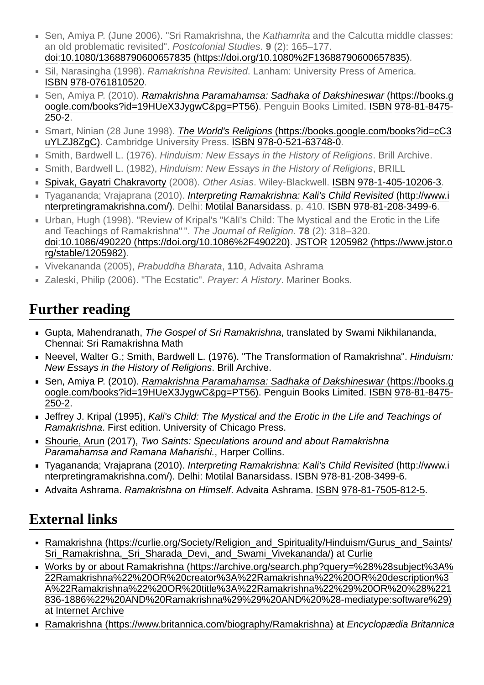- Sen, Amiya P. (June 2006). "Sri Ramakrishna, the *Kathamrita* and the Calcutta middle classes: an old problematic revisited". *Postcolonial Studies*. **9** (2): 165–177. [doi](https://en.wikipedia.org/wiki/Doi_(identifier))[:10.1080/13688790600657835 \(https://doi.org/10.1080%2F13688790600657835\)](https://doi.org/10.1080%2F13688790600657835).
- <span id="page-22-9"></span>Sil, Narasingha (1998). *Ramakrishna Revisited*. Lanham: University Press of America. [ISBN](https://en.wikipedia.org/wiki/ISBN_(identifier)) [978-0761810520](https://en.wikipedia.org/wiki/Special:BookSources/978-0761810520).
- Sen, Amiya P. (2010). *Ramakrishna Paramahamsa: Sadhaka of Dakshineswar (https://books.g* [oogle.com/books?id=19HUeX3JygwC&pg=PT56\). Penguin Books Limited. ISBN](https://books.google.com/books?id=19HUeX3JygwC&pg=PT56) 978-81-8475- 250-2.
- <span id="page-22-2"></span>■ Smart, Ninian (28 June 1998). *The World's Religions* (https://books.google.com/books?id=cC3 [uYLZJ8ZgC\). Cambridge University Press. ISBN](https://books.google.com/books?id=cC3uYLZJ8ZgC) [978-0-521-63748-0](https://en.wikipedia.org/wiki/Special:BookSources/978-0-521-63748-0).
- <span id="page-22-3"></span>Smith, Bardwell L. (1976). *Hinduism: New Essays in the History of Religions*. Brill Archive.
- <span id="page-22-5"></span>Smith, Bardwell L. (1982), *Hinduism: New Essays in the History of Religions*, BRILL
- [Spivak, Gayatri Chakravorty](https://en.wikipedia.org/wiki/Gayatri_Chakravorty_Spivak) (2008). *Other Asias*. Wiley-Blackwell. [ISBN](https://en.wikipedia.org/wiki/ISBN_(identifier)) [978-1-405-10206-3.](https://en.wikipedia.org/wiki/Special:BookSources/978-1-405-10206-3)
- <span id="page-22-8"></span>Tyagananda; Vrajaprana (2010). *Interpreting Ramakrishna: Kali's Child Revisited* (http://www.i [nterpretingramakrishna.com/\). Delhi: Motilal Banarsidass. p. 410. ISBN](http://www.interpretingramakrishna.com/) [978-81-208-3499-6.](https://en.wikipedia.org/wiki/Special:BookSources/978-81-208-3499-6)
- <span id="page-22-7"></span>Urban, Hugh (1998). "Review of Kripal's "Kālī's Child: The Mystical and the Erotic in the Life and Teachings of Ramakrishna" ". *The Journal of Religion*. **78** (2): 318–320. [do](https://en.wikipedia.org/wiki/Doi_(identifier))[i:](https://www.jstor.org/stable/1205982)[10.1086/490220 \(https://doi.org/10.1086%2F490220\)](https://doi.org/10.1086%2F490220)[. J](https://www.jstor.org/stable/1205982)[STOR](https://en.wikipedia.org/wiki/JSTOR_(identifier)) 1205982 (https://www.jstor.o rg/stable/1205982).
- <span id="page-22-6"></span>Vivekananda (2005), *Prabuddha Bharata*, **110**, Advaita Ashrama
- <span id="page-22-4"></span>Zaleski, Philip (2006). "The Ecstatic". *Prayer: A History*. Mariner Books.

## <span id="page-22-0"></span>**Further reading**

- Gupta, Mahendranath, *The Gospel of Sri Ramakrishna*, translated by Swami Nikhilananda, Chennai: Sri Ramakrishna Math
- Neevel, Walter G.; Smith, Bardwell L. (1976). "The Transformation of Ramakrishna". *Hinduism: New Essays in the History of Religions*. Brill Archive.
- Sen, Amiya P. (2010). *Ramakrishna Paramahamsa: Sadhaka of Dakshineswar* (https://books.g [oogle.com/books?id=19HUeX3JygwC&pg=PT56\). Penguin Books Limited. ISBN](https://books.google.com/books?id=19HUeX3JygwC&pg=PT56) 978-81-8475- 250-2.
- Jeffrey J. Kripal (1995), *Kali's Child: The Mystical and the Erotic in the Life and Teachings of Ramakrishna*. First edition. University of Chicago Press.
- [Shourie, Arun](https://en.wikipedia.org/wiki/Arun_Shourie) (2017), *Two Saints: Speculations around and about Ramakrishna Paramahamsa and Ramana Maharishi.*, Harper Collins.
- Tyagananda; Vrajaprana (2010). *Interpreting Ramakrishna: Kali's Child Revisited* (http://www.i [nterpretingramakrishna.com/\). Delhi: Motilal Banarsidass. ISBN](http://www.interpretingramakrishna.com/) [978-81-208-3499-6](https://en.wikipedia.org/wiki/Special:BookSources/978-81-208-3499-6).
- Advaita Ashrama. *Ramakrishna on Himself*. Advaita Ashrama. [ISBN](https://en.wikipedia.org/wiki/ISBN_(identifier)) [978-81-7505-812-5.](https://en.wikipedia.org/wiki/Special:BookSources/978-81-7505-812-5)

## <span id="page-22-1"></span>**External links**

- [Ramakrishna \(https://curlie.org/Society/Religion\\_and\\_Spirituality/Hinduism/Gurus\\_and\\_Saints/](https://curlie.org/Society/Religion_and_Spirituality/Hinduism/Gurus_and_Saints/Sri_Ramakrishna,_Sri_Sharada_Devi,_and_Swami_Vivekananda/) Sri Ramakrishna, Sri Sharada Devi, and Swami Vivekananda/) at [Curlie](https://en.wikipedia.org/wiki/Curlie)
- [Works by or about Ramakrishna \(https://archive.org/search.php?query=%28%28subject%3A%](https://archive.org/search.php?query=%28%28subject%3A%22Ramakrishna%22%20OR%20creator%3A%22Ramakrishna%22%20OR%20description%3A%22Ramakrishna%22%20OR%20title%3A%22Ramakrishna%22%29%20OR%20%28%221836-1886%22%20AND%20Ramakrishna%29%29%20AND%20%28-mediatype:software%29) 22Ramakrishna%22%20OR%20creator%3A%22Ramakrishna%22%20OR%20description%3 A%22Ramakrishna%22%20OR%20title%3A%22Ramakrishna%22%29%20OR%20%28%221 836-1886%22%20AND%20Ramakrishna%29%29%20AND%20%28-mediatype:software%29) at [Internet Archive](https://en.wikipedia.org/wiki/Internet_Archive)
- [Ramakrishna \(https://www.britannica.com/biography/Ramakrishna\)](https://www.britannica.com/biography/Ramakrishna) at *Encyclopædia Britannica*